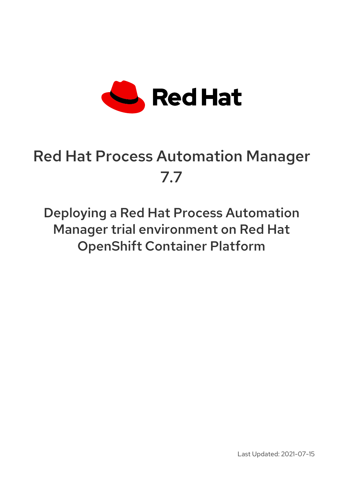

# Red Hat Process Automation Manager 7.7

Deploying a Red Hat Process Automation Manager trial environment on Red Hat OpenShift Container Platform

Last Updated: 2021-07-15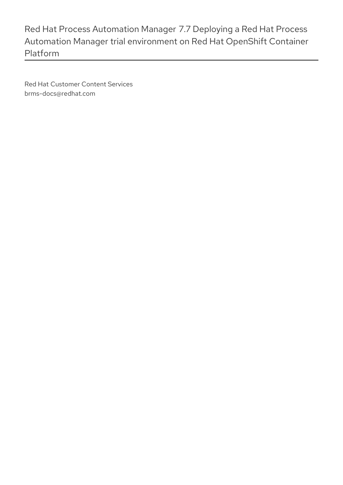# Red Hat Process Automation Manager 7.7 Deploying a Red Hat Process Automation Manager trial environment on Red Hat OpenShift Container Platform

Red Hat Customer Content Services brms-docs@redhat.com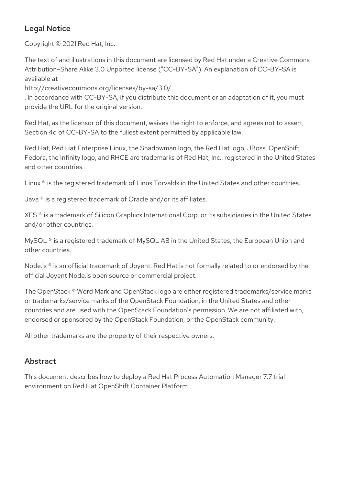### Legal Notice

Copyright © 2021 Red Hat, Inc.

The text of and illustrations in this document are licensed by Red Hat under a Creative Commons Attribution–Share Alike 3.0 Unported license ("CC-BY-SA"). An explanation of CC-BY-SA is available at

http://creativecommons.org/licenses/by-sa/3.0/

. In accordance with CC-BY-SA, if you distribute this document or an adaptation of it, you must provide the URL for the original version.

Red Hat, as the licensor of this document, waives the right to enforce, and agrees not to assert, Section 4d of CC-BY-SA to the fullest extent permitted by applicable law.

Red Hat, Red Hat Enterprise Linux, the Shadowman logo, the Red Hat logo, JBoss, OpenShift, Fedora, the Infinity logo, and RHCE are trademarks of Red Hat, Inc., registered in the United States and other countries.

Linux ® is the registered trademark of Linus Torvalds in the United States and other countries.

Java ® is a registered trademark of Oracle and/or its affiliates.

XFS ® is a trademark of Silicon Graphics International Corp. or its subsidiaries in the United States and/or other countries.

MySQL<sup>®</sup> is a registered trademark of MySQL AB in the United States, the European Union and other countries.

Node.js ® is an official trademark of Joyent. Red Hat is not formally related to or endorsed by the official Joyent Node.js open source or commercial project.

The OpenStack ® Word Mark and OpenStack logo are either registered trademarks/service marks or trademarks/service marks of the OpenStack Foundation, in the United States and other countries and are used with the OpenStack Foundation's permission. We are not affiliated with, endorsed or sponsored by the OpenStack Foundation, or the OpenStack community.

All other trademarks are the property of their respective owners.

### Abstract

This document describes how to deploy a Red Hat Process Automation Manager 7.7 trial environment on Red Hat OpenShift Container Platform.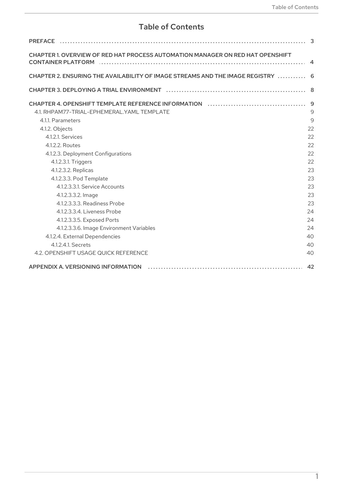# **Table of Contents**

| <b>PREFACE</b>                                                                  |               |
|---------------------------------------------------------------------------------|---------------|
| CHAPTER 1. OVERVIEW OF RED HAT PROCESS AUTOMATION MANAGER ON RED HAT OPENSHIFT  |               |
| CHAPTER 2. ENSURING THE AVAILABILITY OF IMAGE STREAMS AND THE IMAGE REGISTRY  6 |               |
|                                                                                 |               |
| 4.1. RHPAM77-TRIAL-EPHEMERAL.YAML TEMPLATE                                      | 9             |
| 4.1.1. Parameters                                                               | $\mathcal{G}$ |
| 4.1.2. Objects                                                                  | 22            |
| 4.1.2.1. Services                                                               | 22            |
| 4.1.2.2. Routes                                                                 | 22            |
| 4.1.2.3. Deployment Configurations                                              | 22            |
| 4.1.2.3.1. Triggers                                                             | 22            |
| 4.1.2.3.2. Replicas                                                             | 23            |
| 4.1.2.3.3. Pod Template                                                         | 23            |
| 4.1.2.3.3.1. Service Accounts                                                   | 23            |
| 4.1.2.3.3.2. Image                                                              | 23            |
| 4.1.2.3.3.3. Readiness Probe                                                    | 23            |
| 4.1.2.3.3.4. Liveness Probe                                                     | 24            |
| 4.1.2.3.3.5. Exposed Ports                                                      | 24            |
| 4.1.2.3.3.6. Image Environment Variables                                        | 24            |
| 4.1.2.4. External Dependencies                                                  | 40            |
| 4.1.2.4.1. Secrets                                                              | 40            |
| 4.2. OPENSHIFT USAGE QUICK REFERENCE                                            | 40            |
| APPENDIX A. VERSIONING INFORMATION                                              | 42            |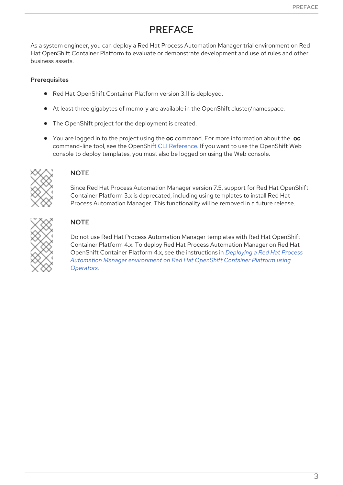# PREFACE

<span id="page-6-0"></span>As a system engineer, you can deploy a Red Hat Process Automation Manager trial environment on Red Hat OpenShift Container Platform to evaluate or demonstrate development and use of rules and other business assets.

#### Prerequisites

- Red Hat OpenShift Container Platform version 3.11 is deployed.
- At least three gigabytes of memory are available in the OpenShift cluster/namespace.
- The OpenShift project for the deployment is created.
- You are logged in to the project using the **oc** command. For more information about the **oc** command-line tool, see the OpenShift CLI [Reference](https://access.redhat.com/documentation/en-us/openshift_container_platform/3.11/html-single/cli_reference/). If you want to use the OpenShift Web console to deploy templates, you must also be logged on using the Web console.



### **NOTE**

Since Red Hat Process Automation Manager version 7.5, support for Red Hat OpenShift Container Platform 3.x is deprecated, including using templates to install Red Hat Process Automation Manager. This functionality will be removed in a future release.

### **NOTE**

Do not use Red Hat Process Automation Manager templates with Red Hat OpenShift Container Platform 4.x. To deploy Red Hat Process Automation Manager on Red Hat OpenShift Container Platform 4.x, see the instructions in *Deploying a Red Hat Process Automation Manager [environment](https://access.redhat.com/documentation/en-us/red_hat_process_automation_manager/7.7/html-single/deploying_a_red_hat_process_automation_manager_environment_on_red_hat_openshift_container_platform_using_operators) on Red Hat OpenShift Container Platform using Operators*.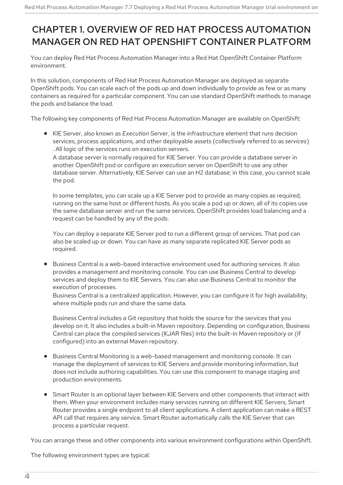# <span id="page-7-0"></span>CHAPTER 1. OVERVIEW OF RED HAT PROCESS AUTOMATION MANAGER ON RED HAT OPENSHIFT CONTAINER PLATFORM

You can deploy Red Hat Process Automation Manager into a Red Hat OpenShift Container Platform environment.

In this solution, components of Red Hat Process Automation Manager are deployed as separate OpenShift pods. You can scale each of the pods up and down individually to provide as few or as many containers as required for a particular component. You can use standard OpenShift methods to manage the pods and balance the load.

The following key components of Red Hat Process Automation Manager are available on OpenShift:

KIE Server, also known as *Execution Server*, is the infrastructure element that runs decision services, process applications, and other deployable assets (collectively referred to as *services*) . All logic of the services runs on execution servers.

A database server is normally required for KIE Server. You can provide a database server in another OpenShift pod or configure an execution server on OpenShift to use any other database server. Alternatively, KIE Server can use an H2 database; in this case, you cannot scale the pod.

In some templates, you can scale up a KIE Server pod to provide as many copies as required, running on the same host or different hosts. As you scale a pod up or down, all of its copies use the same database server and run the same services. OpenShift provides load balancing and a request can be handled by any of the pods.

You can deploy a separate KIE Server pod to run a different group of services. That pod can also be scaled up or down. You can have as many separate replicated KIE Server pods as required.

Business Central is a web-based interactive environment used for authoring services. It also provides a management and monitoring console. You can use Business Central to develop services and deploy them to KIE Servers. You can also use Business Central to monitor the execution of processes.

Business Central is a centralized application. However, you can configure it for high availability, where multiple pods run and share the same data.

Business Central includes a Git repository that holds the source for the services that you develop on it. It also includes a built-in Maven repository. Depending on configuration, Business Central can place the compiled services (KJAR files) into the built-in Maven repository or (if configured) into an external Maven repository.

- Business Central Monitoring is a web-based management and monitoring console. It can manage the deployment of services to KIE Servers and provide monitoring information, but does not include authoring capabilities. You can use this component to manage staging and production environments.
- Smart Router is an optional layer between KIE Servers and other components that interact with them. When your environment includes many services running on different KIE Servers, Smart Router provides a single endpoint to all client applications. A client application can make a REST API call that requires any service. Smart Router automatically calls the KIE Server that can process a particular request.

You can arrange these and other components into various environment configurations within OpenShift.

The following environment types are typical: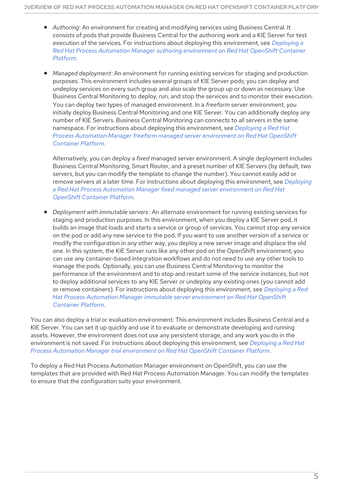- *Authoring*: An environment for creating and modifying services using Business Central. It consists of pods that provide Business Central for the authoring work and a KIE Server for test execution of the services. For instructions about deploying this [environment,](https://access.redhat.com/documentation/en-us/red_hat_process_automation_manager/7.7/html-single/deploying_a_red_hat_process_automation_manager_authoring_environment_on_red_hat_openshift_container_platform) see *Deploying a Red Hat Process Automation Manager authoring environment on Red Hat OpenShift Container Platform*.
- *Managed deployment*: An environment for running existing services for staging and production purposes. This environment includes several groups of KIE Server pods; you can deploy and undeploy services on every such group and also scale the group up or down as necessary. Use Business Central Monitoring to deploy, run, and stop the services and to monitor their execution. You can deploy two types of managed environment. In a *freeform* server environment, you initially deploy Business Central Monitoring and one KIE Server. You can additionally deploy any number of KIE Servers. Business Central Monitoring can connects to all servers in the same namespace. For instructions about deploying this [environment,](https://access.redhat.com/documentation/en-us/red_hat_process_automation_manager/7.7/html-single/deploying_a_red_hat_process_automation_manager_freeform_managed_server_environment_on_red_hat_openshift_container_platform) see *Deploying a Red Hat Process Automation Manager freeform managed server environment on Red Hat OpenShift Container Platform*.

Alternatively, you can deploy a *fixed* managed server environment. A single deployment includes Business Central Monitoring, Smart Router, and a preset number of KIE Servers (by default, two servers, but you can modify the template to change the number). You cannot easily add or remove servers at a later time. For instructions about deploying this [environment,](https://access.redhat.com/documentation/en-us/red_hat_process_automation_manager/7.7/html-single/deploying_a_red_hat_process_automation_manager_fixed_managed_server_environment_on_red_hat_openshift_container_platform) see *Deploying a Red Hat Process Automation Manager fixed managed server environment on Red Hat OpenShift Container Platform*.

*Deployment with immutable servers* : An alternate environment for running existing services for staging and production purposes. In this environment, when you deploy a KIE Server pod, it builds an image that loads and starts a service or group of services. You cannot stop any service on the pod or add any new service to the pod. If you want to use another version of a service or modify the configuration in any other way, you deploy a new server image and displace the old one. In this system, the KIE Server runs like any other pod on the OpenShift environment; you can use any container-based integration workflows and do not need to use any other tools to manage the pods. Optionally, you can use Business Central Monitoring to monitor the performance of the environment and to stop and restart some of the service instances, but not to deploy additional services to any KIE Server or undeploy any existing ones (you cannot add or remove containers). For instructions about deploying this [environment,](https://access.redhat.com/documentation/en-us/red_hat_process_automation_manager/7.7/html-single/deploying_a_red_hat_process_automation_manager_immutable_server_environment_on_red_hat_openshift_container_platform) see *Deploying a Red Hat Process Automation Manager immutable server environment on Red Hat OpenShift Container Platform*.

You can also deploy a *trial* or evaluation environment. This environment includes Business Central and a KIE Server. You can set it up quickly and use it to evaluate or demonstrate developing and running assets. However, the environment does not use any persistent storage, and any work you do in the environment is not saved. For instructions about deploying this [environment,](https://access.redhat.com/documentation/en-us/red_hat_process_automation_manager/7.7/html-single/deploying_a_red_hat_process_automation_manager_trial_environment_on_red_hat_openshift_container_platform) see *Deploying a Red Hat Process Automation Manager trial environment on Red Hat OpenShift Container Platform*.

To deploy a Red Hat Process Automation Manager environment on OpenShift, you can use the templates that are provided with Red Hat Process Automation Manager. You can modify the templates to ensure that the configuration suits your environment.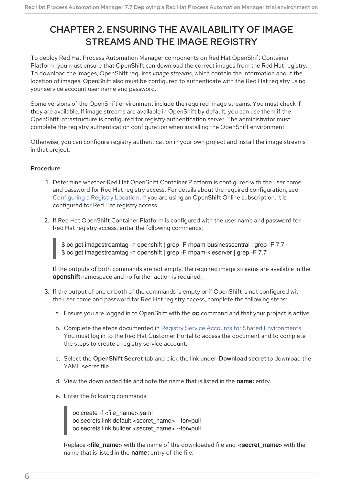# <span id="page-9-1"></span><span id="page-9-0"></span>CHAPTER 2. ENSURING THE AVAILABILITY OF IMAGE STREAMS AND THE IMAGE REGISTRY

To deploy Red Hat Process Automation Manager components on Red Hat OpenShift Container Platform, you must ensure that OpenShift can download the correct images from the Red Hat registry. To download the images, OpenShift requires *image streams*, which contain the information about the location of images. OpenShift also must be configured to authenticate with the Red Hat registry using your service account user name and password.

Some versions of the OpenShift environment include the required image streams. You must check if they are available. If image streams are available in OpenShift by default, you can use them if the OpenShift infrastructure is configured for registry authentication server. The administrator must complete the registry authentication configuration when installing the OpenShift environment.

Otherwise, you can configure registry authentication in your own project and install the image streams in that project.

#### Procedure

- 1. Determine whether Red Hat OpenShift Container Platform is configured with the user name and password for Red Hat registry access. For details about the required configuration, see [Configuring](https://access.redhat.com/documentation/en-us/openshift_container_platform/3.11/html/installing_clusters/install-config-configuring-inventory-file#advanced-install-configuring-registry-location) a Registry Location. If you are using an OpenShift Online subscription, it is configured for Red Hat registry access.
- 2. If Red Hat OpenShift Container Platform is configured with the user name and password for Red Hat registry access, enter the following commands:

\$ oc get imagestreamtag -n openshift | grep -F rhpam-businesscentral | grep -F 7.7 \$ oc get imagestreamtag -n openshift | grep -F rhpam-kieserver | grep -F 7.7

If the outputs of both commands are not empty, the required image streams are available in the **openshift** namespace and no further action is required.

- 3. If the output of one or both of the commands is empty or if OpenShift is not configured with the user name and password for Red Hat registry access, complete the following steps:
	- a. Ensure you are logged in to OpenShift with the **oc** command and that your project is active.
	- b. Complete the steps documented in Registry Service Accounts for Shared [Environments](https://access.redhat.com/RegistryAuthentication#registry-service-accounts-for-shared-environments-4) . You must log in to the Red Hat Customer Portal to access the document and to complete the steps to create a registry service account.
	- c. Select the OpenShift Secret tab and click the link under Download secret to download the YAML secret file.
	- d. View the downloaded file and note the name that is listed in the **name:** entry.
	- e. Enter the following commands:

oc create -f <file\_name>.yaml oc secrets link default <secret\_name> --for=pull oc secrets link builder <secret\_name> --for=pull

Replace <file name> with the name of the downloaded file and <secret\_name> with the name that is listed in the **name:** entry of the file.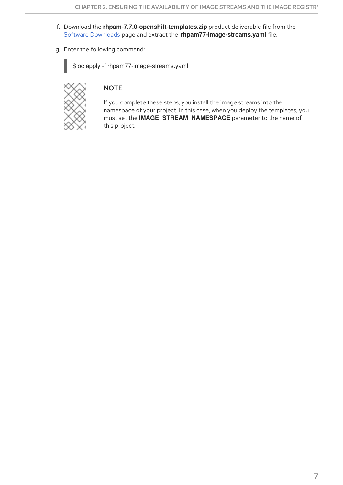- f. Download the **rhpam-7.7.0-openshift-templates.zip** product deliverable file from the Software [Downloads](https://access.redhat.com/jbossnetwork/restricted/listSoftware.html?downloadType=distributions&product=rhpam&productChanged=yes) page and extract the **rhpam77-image-streams.yaml** file.
- g. Enter the following command:
	- \$ oc apply -f rhpam77-image-streams.yaml



### **NOTE**

If you complete these steps, you install the image streams into the namespace of your project. In this case, when you deploy the templates, you must set the **IMAGE\_STREAM\_NAMESPACE** parameter to the name of this project.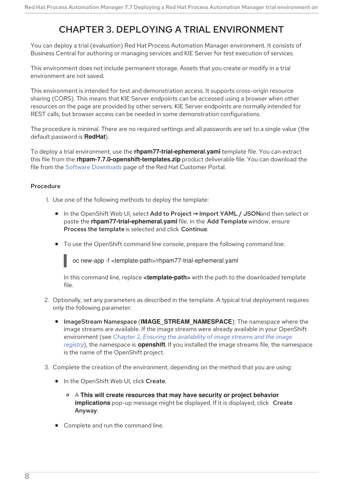# CHAPTER 3. DEPLOYING A TRIAL ENVIRONMENT

<span id="page-11-0"></span>You can deploy a trial (evaluation) Red Hat Process Automation Manager environment. It consists of Business Central for authoring or managing services and KIE Server for test execution of services.

This environment does not include permanent storage. Assets that you create or modify in a trial environment are not saved.

This environment is intended for test and demonstration access. It supports cross-origin resource sharing (CORS). This means that KIE Server endpoints can be accessed using a browser when other resources on the page are provided by other servers. KIE Server endpoints are normally intended for REST calls, but browser access can be needed in some demonstration configurations.

The procedure is minimal. There are no required settings and all passwords are set to a single value (the default password is **RedHat**).

To deploy a trial environment, use the **rhpam77-trial-ephemeral.yaml** template file. You can extract this file from the **rhpam-7.7.0-openshift-templates.zip** product deliverable file. You can download the file from the Software [Downloads](https://access.redhat.com/jbossnetwork/restricted/listSoftware.html?downloadType=distributions&product=rhpam&productChanged=yes) page of the Red Hat Customer Portal.

#### Procedure

- 1. Use one of the following methods to deploy the template:
	- In the OpenShift Web UI, select Add to Project **→** Import YAML / JSONand then select or paste the **rhpam77-trial-ephemeral.yaml** file. In the Add Templatewindow, ensure Process the template is selected and click Continue.
	- To use the OpenShift command line console, prepare the following command line:

oc new-app -f <template-path>/rhpam77-trial-ephemeral.yaml

In this command line, replace **<template-path>** with the path to the downloaded template file.

- 2. Optionally, set any parameters as described in the template. A typical trial deployment requires only the following parameter:
	- **ImageStream Namespace (IMAGE\_STREAM\_NAMESPACE**): The namespace where the image streams are available. If the image streams were already available in your OpenShift [environment](#page-9-1) (see Chapter 2, *Ensuring the availability of image streams and the image registry*), the namespace is **openshift**. If you installed the image streams file, the namespace is the name of the OpenShift project.
- 3. Complete the creation of the environment, depending on the method that you are using:
	- **In the OpenShift Web UI, click Create.** 
		- A **This will create resources that may have security or project behavior implications** pop-up message might be displayed. If it is displayed, click Create Anyway.
	- Complete and run the command line.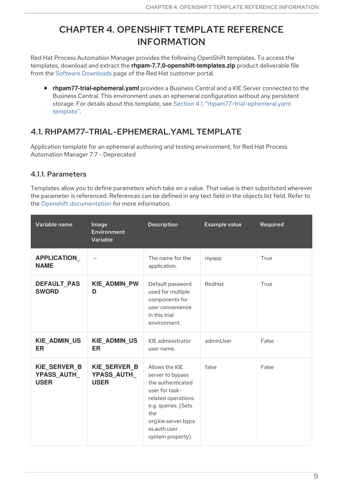# <span id="page-12-0"></span>CHAPTER 4. OPENSHIFT TEMPLATE REFERENCE INFORMATION

Red Hat Process Automation Manager provides the following OpenShift templates. To access the templates, download and extract the **rhpam-7.7.0-openshift-templates.zip** product deliverable file from the Software [Downloads](https://access.redhat.com/jbossnetwork/restricted/listSoftware.html?downloadType=distributions&product=rhpam&productChanged=yes) page of the Red Hat customer portal.

**rhpam77-trial-ephemeral.yaml** provides a Business Central and a KIE Server connected to the Business Central. This environment uses an ephemeral configuration without any persistent storage. For details about this template, see Section 4.1, ["rhpam77-trial-ephemeral.yaml](#page-28-0) template".

## <span id="page-12-1"></span>4.1. RHPAM77-TRIAL-EPHEMERAL.YAML TEMPLATE

Application template for an ephemeral authoring and testing environment, for Red Hat Process Automation Manager 7.7 - Deprecated

### <span id="page-12-2"></span>4.1.1. Parameters

Templates allow you to define parameters which take on a value. That value is then substituted wherever the parameter is referenced. References can be defined in any text field in the objects list field. Refer to the Openshift [documentation](https://access.redhat.com/documentation/en-us/openshift_container_platform/3.11/html-single/developer_guide/#dev-guide-templates) for more information.

| Variable name                                     | Image<br>Environment<br>Variable                  | <b>Description</b>                                                                                                                                                                       | <b>Example value</b> | Required |
|---------------------------------------------------|---------------------------------------------------|------------------------------------------------------------------------------------------------------------------------------------------------------------------------------------------|----------------------|----------|
| <b>APPLICATION</b><br><b>NAME</b>                 |                                                   | The name for the<br>application.                                                                                                                                                         | myapp                | True     |
| <b>DEFAULT PAS</b><br><b>SWORD</b>                | <b>KIE ADMIN PW</b><br>D                          | Default password<br>used for multiple<br>components for<br>user convenience<br>in this trial<br>environment.                                                                             | RedHat               | True     |
| <b>KIE_ADMIN_US</b><br>ER                         | <b>KIE_ADMIN_US</b><br><b>ER</b>                  | KIE administrator<br>user name.                                                                                                                                                          | adminUser            | False    |
| <b>KIE SERVER B</b><br>YPASS_AUTH_<br><b>USER</b> | <b>KIE SERVER B</b><br>YPASS_AUTH_<br><b>USER</b> | Allows the KIE<br>server to bypass<br>the authenticated<br>user for task-<br>related operations<br>e.g. queries. (Sets<br>the<br>org.kie.server.bypa<br>ss.auth.user<br>system property) | false                | False    |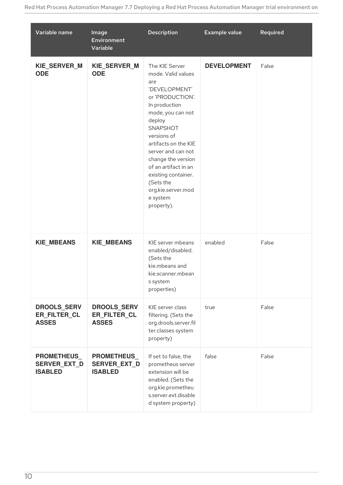Red Hat Process Automation Manager 7.7 Deploying a Red Hat Process Automation Manager trial environment on

| Variable name                                       | Image<br><b>Environment</b><br>Variable             | <b>Description</b>                                                                                                                                                                                                                                                                                                                          | <b>Example value</b> | Required |
|-----------------------------------------------------|-----------------------------------------------------|---------------------------------------------------------------------------------------------------------------------------------------------------------------------------------------------------------------------------------------------------------------------------------------------------------------------------------------------|----------------------|----------|
| KIE_SERVER_M<br><b>ODE</b>                          | KIE_SERVER_M<br><b>ODE</b>                          | The KIE Server<br>mode. Valid values<br>are<br>'DEVELOPMENT'<br>or 'PRODUCTION'.<br>In production<br>mode, you can not<br>deploy<br>SNAPSHOT<br>versions of<br>artifacts on the KIE<br>server and can not<br>change the version<br>of an artifact in an<br>existing container.<br>(Sets the<br>org.kie.server.mod<br>e system<br>property). | <b>DEVELOPMENT</b>   | False    |
| <b>KIE_MBEANS</b>                                   | <b>KIE_MBEANS</b>                                   | KIE server mbeans<br>enabled/disabled.<br>(Sets the<br>kie.mbeans and<br>kie.scanner.mbean<br>s system<br>properties)                                                                                                                                                                                                                       | enabled              | False    |
| <b>DROOLS_SERV</b><br>ER FILTER CL<br><b>ASSES</b>  | <b>DROOLS_SERV</b><br>ER_FILTER_CL<br><b>ASSES</b>  | KIE server class<br>filtering. (Sets the<br>org.drools.server.fil<br>ter.classes system<br>property)                                                                                                                                                                                                                                        | true                 | False    |
| <b>PROMETHEUS</b><br>SERVER_EXT_D<br><b>ISABLED</b> | <b>PROMETHEUS</b><br>SERVER_EXT_D<br><b>ISABLED</b> | If set to false, the<br>prometheus server<br>extension will be<br>enabled. (Sets the<br>org.kie.prometheu<br>s.server.ext.disable<br>d system property)                                                                                                                                                                                     | false                | False    |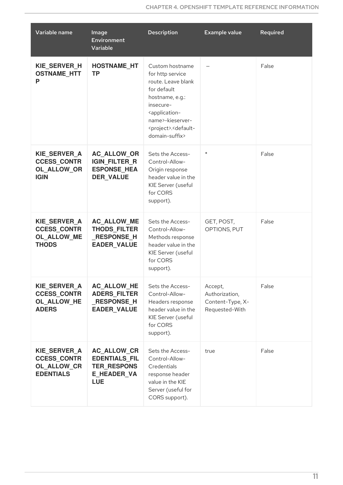| Variable name                                                                | Image<br>Environment<br>Variable                                                              | <b>Description</b>                                                                                                                                                                                                                      | <b>Example value</b>                                            | Required |
|------------------------------------------------------------------------------|-----------------------------------------------------------------------------------------------|-----------------------------------------------------------------------------------------------------------------------------------------------------------------------------------------------------------------------------------------|-----------------------------------------------------------------|----------|
| KIE_SERVER_H<br><b>OSTNAME_HTT</b><br>P                                      | <b>HOSTNAME_HT</b><br><b>TP</b>                                                               | Custom hostname<br>for http service<br>route. Leave blank<br>for default<br>hostname, e.g.:<br>insecure-<br><application-<br>name&gt;-kieserver-<br/><project>.<default-<br>domain-suffix&gt;</default-<br></project></application-<br> |                                                                 | False    |
| KIE_SERVER_A<br><b>CCESS CONTR</b><br>OL ALLOW OR<br><b>IGIN</b>             | <b>AC_ALLOW_OR</b><br><b>IGIN FILTER R</b><br><b>ESPONSE HEA</b><br><b>DER_VALUE</b>          | Sets the Access-<br>Control-Allow-<br>Origin response<br>header value in the<br>KIE Server (useful<br>for CORS<br>support).                                                                                                             | $\ast$                                                          | False    |
| KIE_SERVER_A<br><b>CCESS_CONTR</b><br>OL ALLOW ME<br><b>THODS</b>            | <b>AC_ALLOW_ME</b><br>THODS_FILTER<br><b>RESPONSE H</b><br><b>EADER_VALUE</b>                 | Sets the Access-<br>Control-Allow-<br>Methods response<br>header value in the<br>KIE Server (useful<br>for CORS<br>support).                                                                                                            | GET, POST,<br>OPTIONS, PUT                                      | False    |
| KIE_SERVER_A<br><b>CCESS CONTR</b><br>OL ALLOW HE<br><b>ADERS</b>            | <b>AC_ALLOW_HE</b><br><b>ADERS FILTER</b><br><b>RESPONSE H</b><br><b>EADER VALUE</b>          | Sets the Access-<br>Control-Allow-<br>Headers response<br>header value in the<br>KIE Server (useful<br>for CORS<br>support).                                                                                                            | Accept,<br>Authorization,<br>Content-Type, X-<br>Requested-With | False    |
| <b>KIE SERVER A</b><br><b>CCESS_CONTR</b><br>OL_ALLOW_CR<br><b>EDENTIALS</b> | <b>AC ALLOW CR</b><br><b>EDENTIALS FIL</b><br><b>TER RESPONS</b><br>E HEADER VA<br><b>LUE</b> | Sets the Access-<br>Control-Allow-<br>Credentials<br>response header<br>value in the KIE<br>Server (useful for<br>CORS support).                                                                                                        | true                                                            | False    |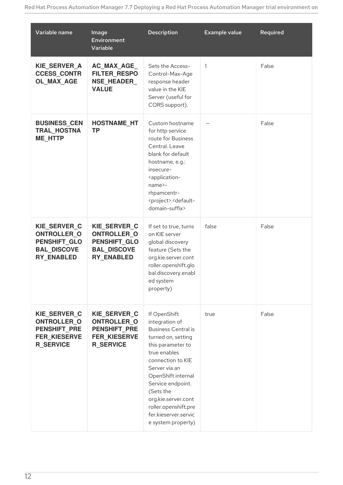| Variable name                                                                                 | Image<br><b>Environment</b><br>Variable                                                                     | <b>Description</b>                                                                                                                                                                                                                                                                                                 | <b>Example value</b> | Required |
|-----------------------------------------------------------------------------------------------|-------------------------------------------------------------------------------------------------------------|--------------------------------------------------------------------------------------------------------------------------------------------------------------------------------------------------------------------------------------------------------------------------------------------------------------------|----------------------|----------|
| KIE_SERVER_A<br><b>CCESS_CONTR</b><br>OL MAX AGE                                              | AC_MAX_AGE_<br><b>FILTER RESPO</b><br><b>NSE HEADER</b><br><b>VALUE</b>                                     | Sets the Access-<br>Control-Max-Age<br>response header<br>value in the KIE<br>Server (useful for<br>CORS support).                                                                                                                                                                                                 | $\mathbf{1}$         | False    |
| <b>BUSINESS_CEN</b><br><b>TRAL HOSTNA</b><br><b>ME HTTP</b>                                   | <b>HOSTNAME_HT</b><br><b>TP</b>                                                                             | Custom hostname<br>for http service<br>route for Business<br>Central. Leave<br>blank for default<br>hostname, e.g.:<br>insecure-<br><application-<br><math>name</math><math>-</math><br/>rhpamcentr-<br/><project>.<default-<br>domain-suffix&gt;</default-<br></project></application-<br>                        |                      | False    |
| KIE_SERVER_C<br><b>ONTROLLER O</b><br>PENSHIFT_GLO<br><b>BAL DISCOVE</b><br><b>RY ENABLED</b> | KIE_SERVER_C<br><b>ONTROLLER O</b><br>PENSHIFT_GLO<br><b>BAL DISCOVE</b><br><b>RY ENABLED</b>               | If set to true, turns<br>on KIE server<br>global discovery<br>feature (Sets the<br>org.kie.server.cont<br>roller.openshift.glo<br>bal.discovery.enabl<br>ed system<br>property)                                                                                                                                    | false                | False    |
| KIE_SERVER_C<br><b>ONTROLLER O</b><br><b>PENSHIFT PRE</b><br>FER_KIESERVE<br><b>R_SERVICE</b> | <b>KIE SERVER C</b><br><b>ONTROLLER O</b><br><b>PENSHIFT PRE</b><br><b>FER KIESERVE</b><br><b>R_SERVICE</b> | If OpenShift<br>integration of<br><b>Business Central is</b><br>turned on, setting<br>this parameter to<br>true enables<br>connection to KIE<br>Server via an<br>OpenShift internal<br>Service endpoint.<br>(Sets the<br>org.kie.server.cont<br>roller.openshift.pre<br>fer.kieserver.servic<br>e system property) | true                 | False    |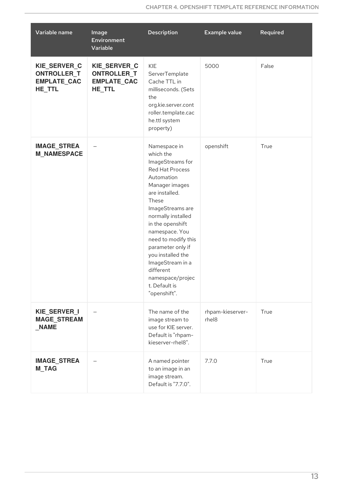| Variable name                                                      | Image<br>Environment<br>Variable                            | <b>Description</b>                                                                                                                                                                                                                                                                                                                                                 | <b>Example value</b>      | Required |
|--------------------------------------------------------------------|-------------------------------------------------------------|--------------------------------------------------------------------------------------------------------------------------------------------------------------------------------------------------------------------------------------------------------------------------------------------------------------------------------------------------------------------|---------------------------|----------|
| KIE_SERVER_C<br><b>ONTROLLER_T</b><br><b>EMPLATE_CAC</b><br>HE_TTL | KIE_SERVER_C<br>ONTROLLER_T<br><b>EMPLATE_CAC</b><br>HE_TTL | KIE<br>ServerTemplate<br>Cache TTL in<br>milliseconds. (Sets<br>the<br>org.kie.server.cont<br>roller.template.cac<br>he.ttl system<br>property)                                                                                                                                                                                                                    | 5000                      | False    |
| <b>IMAGE_STREA</b><br><b>M_NAMESPACE</b>                           |                                                             | Namespace in<br>which the<br>ImageStreams for<br>Red Hat Process<br>Automation<br>Manager images<br>are installed.<br>These<br>ImageStreams are<br>normally installed<br>in the openshift<br>namespace. You<br>need to modify this<br>parameter only if<br>you installed the<br>ImageStream in a<br>different<br>namespace/projec<br>t. Default is<br>"openshift". | openshift                 | True     |
| KIE_SERVER_I<br><b>MAGE_STREAM</b><br><b>NAME</b>                  |                                                             | The name of the<br>image stream to<br>use for KIE server.<br>Default is "rhpam-<br>kieserver-rhel8".                                                                                                                                                                                                                                                               | rhpam-kieserver-<br>rhel8 | True     |
| <b>IMAGE_STREA</b><br><b>M_TAG</b>                                 |                                                             | A named pointer<br>to an image in an<br>image stream.<br>Default is "7.7.0".                                                                                                                                                                                                                                                                                       | 7.7.0                     | True     |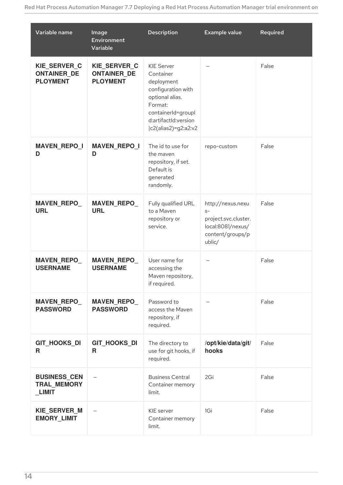| Variable name                                         | Image<br>Environment<br>Variable                      | <b>Description</b>                                                                                                                                                     | <b>Example value</b>                                                                                 | Required |
|-------------------------------------------------------|-------------------------------------------------------|------------------------------------------------------------------------------------------------------------------------------------------------------------------------|------------------------------------------------------------------------------------------------------|----------|
| KIE_SERVER_C<br><b>ONTAINER DE</b><br><b>PLOYMENT</b> | KIE_SERVER_C<br><b>ONTAINER DE</b><br><b>PLOYMENT</b> | <b>KIE Server</b><br>Container<br>deployment<br>configuration with<br>optional alias.<br>Format:<br>containerId=groupl<br>d:artifactId:version<br> c2(alias2)=g2:a2:v2 |                                                                                                      | False    |
| <b>MAVEN_REPO_I</b><br>D                              | <b>MAVEN REPO I</b><br>D                              | The id to use for<br>the maven<br>repository, if set.<br>Default is<br>generated<br>randomly.                                                                          | repo-custom                                                                                          | False    |
| <b>MAVEN_REPO_</b><br><b>URL</b>                      | <b>MAVEN_REPO_</b><br><b>URL</b>                      | Fully qualified URL<br>to a Maven<br>repository or<br>service.                                                                                                         | http://nexus.nexu<br>$S-$<br>project.svc.cluster.<br>local:8081/nexus/<br>content/groups/p<br>ublic/ | False    |
| MAVEN_REPO_<br><b>USERNAME</b>                        | <b>MAVEN_REPO_</b><br><b>USERNAME</b>                 | User name for<br>accessing the<br>Maven repository,<br>if required.                                                                                                    |                                                                                                      | False    |
| <b>MAVEN_REPO_</b><br><b>PASSWORD</b>                 | <b>MAVEN_REPO_</b><br><b>PASSWORD</b>                 | Password to<br>access the Maven<br>repository, if<br>required.                                                                                                         |                                                                                                      | False    |
| GIT_HOOKS_DI<br>R                                     | <b>GIT_HOOKS_DI</b><br>R                              | The directory to<br>use for git hooks, if<br>required.                                                                                                                 | /opt/kie/data/git/<br>hooks                                                                          | False    |
| <b>BUSINESS_CEN</b><br><b>TRAL_MEMORY</b><br>LIMIT    |                                                       | <b>Business Central</b><br>Container memory<br>limit.                                                                                                                  | 2Gi                                                                                                  | False    |
| KIE_SERVER_M<br><b>EMORY_LIMIT</b>                    |                                                       | KIE server<br>Container memory<br>limit.                                                                                                                               | 1Gi                                                                                                  | False    |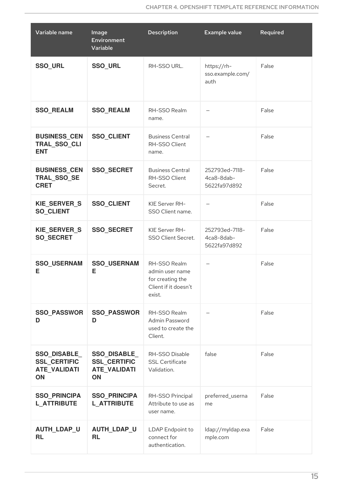| Variable name                                                           | Image<br>Environment<br>Variable                                        | Description                                                                           | <b>Example value</b>                         | Required |
|-------------------------------------------------------------------------|-------------------------------------------------------------------------|---------------------------------------------------------------------------------------|----------------------------------------------|----------|
| SSO_URL                                                                 | SSO_URL                                                                 | RH-SSO URL.                                                                           | https://rh-<br>sso.example.com/<br>auth      | False    |
| <b>SSO_REALM</b>                                                        | <b>SSO_REALM</b>                                                        | RH-SSO Realm<br>name.                                                                 |                                              | False    |
| <b>BUSINESS CEN</b><br>TRAL_SSO_CLI<br><b>ENT</b>                       | <b>SSO CLIENT</b>                                                       | <b>Business Central</b><br>RH-SSO Client<br>name.                                     |                                              | False    |
| <b>BUSINESS_CEN</b><br>TRAL_SSO_SE<br><b>CRET</b>                       | <b>SSO_SECRET</b>                                                       | <b>Business Central</b><br>RH-SSO Client<br>Secret.                                   | 252793ed-7118-<br>4ca8-8dab-<br>5622fa97d892 | False    |
| KIE_SERVER_S<br><b>SO_CLIENT</b>                                        | <b>SSO_CLIENT</b>                                                       | KIE Server RH-<br>SSO Client name.                                                    |                                              | False    |
| KIE_SERVER_S<br><b>SO_SECRET</b>                                        | <b>SSO_SECRET</b>                                                       | KIE Server RH-<br>SSO Client Secret.                                                  | 252793ed-7118-<br>4ca8-8dab-<br>5622fa97d892 | False    |
| <b>SSO_USERNAM</b><br>Е                                                 | <b>SSO_USERNAM</b><br>Е                                                 | RH-SSO Realm<br>admin user name<br>for creating the<br>Client if it doesn't<br>exist. |                                              | False    |
| <b>SSO_PASSWOR</b><br>D                                                 | <b>SSO_PASSWOR</b><br>D                                                 | RH-SSO Realm<br>Admin Password<br>used to create the<br>Client.                       |                                              | False    |
| <b>SSO_DISABLE_</b><br><b>SSL_CERTIFIC</b><br><b>ATE_VALIDATI</b><br>ON | <b>SSO_DISABLE_</b><br><b>SSL_CERTIFIC</b><br><b>ATE_VALIDATI</b><br>ON | RH-SSO Disable<br><b>SSL Certificate</b><br>Validation.                               | false                                        | False    |
| <b>SSO_PRINCIPA</b><br><b>L_ATTRIBUTE</b>                               | <b>SSO_PRINCIPA</b><br><b>L ATTRIBUTE</b>                               | RH-SSO Principal<br>Attribute to use as<br>user name.                                 | preferred_userna<br>me                       | False    |
| AUTH_LDAP_U<br><b>RL</b>                                                | AUTH_LDAP_U<br><b>RL</b>                                                | LDAP Endpoint to<br>connect for<br>authentication.                                    | ldap://myldap.exa<br>mple.com                | False    |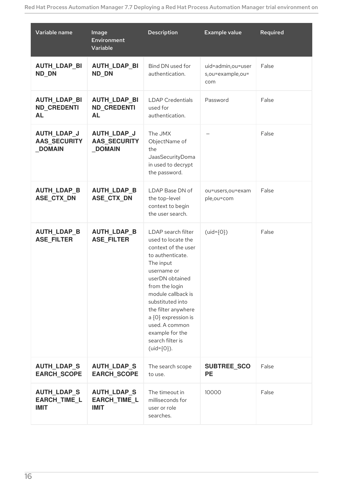| Variable name                                          | Image<br>Environment<br>Variable                       | <b>Description</b>                                                                                                                                                                                                                                                                                                          | <b>Example value</b>                         | Required |
|--------------------------------------------------------|--------------------------------------------------------|-----------------------------------------------------------------------------------------------------------------------------------------------------------------------------------------------------------------------------------------------------------------------------------------------------------------------------|----------------------------------------------|----------|
| <b>AUTH_LDAP_BI</b><br>ND_DN                           | <b>AUTH_LDAP_BI</b><br><b>ND DN</b>                    | Bind DN used for<br>authentication.                                                                                                                                                                                                                                                                                         | uid=admin,ou=user<br>s,ou=example,ou=<br>com | False    |
| <b>AUTH_LDAP_BI</b><br><b>ND_CREDENTI</b><br><b>AL</b> | <b>AUTH_LDAP_BI</b><br><b>ND_CREDENTI</b><br><b>AL</b> | <b>LDAP Credentials</b><br>used for<br>authentication.                                                                                                                                                                                                                                                                      | Password                                     | False    |
| AUTH_LDAP_J<br><b>AAS_SECURITY</b><br><b>DOMAIN</b>    | AUTH_LDAP_J<br><b>AAS_SECURITY</b><br><b>DOMAIN</b>    | The JMX<br>ObjectName of<br>the<br>JaasSecurityDoma<br>in used to decrypt<br>the password.                                                                                                                                                                                                                                  |                                              | False    |
| AUTH_LDAP_B<br>ASE_CTX_DN                              | AUTH_LDAP_B<br>ASE_CTX_DN                              | LDAP Base DN of<br>the top-level<br>context to begin<br>the user search.                                                                                                                                                                                                                                                    | ou=users,ou=exam<br>ple,ou=com               | False    |
| AUTH_LDAP_B<br><b>ASE FILTER</b>                       | AUTH_LDAP_B<br><b>ASE FILTER</b>                       | LDAP search filter<br>used to locate the<br>context of the user<br>to authenticate.<br>The input<br>username or<br>userDN obtained<br>from the login<br>module callback is<br>substituted into<br>the filter anywhere<br>a {0} expression is<br>used. A common<br>example for the<br>search filter is<br>( $uid = \{0\}$ ). | $(\text{uid} = \{0\})$                       | False    |
| <b>AUTH_LDAP_S</b><br><b>EARCH SCOPE</b>               | <b>AUTH_LDAP_S</b><br><b>EARCH SCOPE</b>               | The search scope<br>to use.                                                                                                                                                                                                                                                                                                 | <b>SUBTREE_SCO</b><br><b>PE</b>              | False    |
| <b>AUTH_LDAP_S</b><br>EARCH_TIME_L<br><b>IMIT</b>      | <b>AUTH_LDAP_S</b><br>EARCH_TIME_L<br><b>IMIT</b>      | The timeout in<br>milliseconds for<br>user or role<br>searches.                                                                                                                                                                                                                                                             | 10000                                        | False    |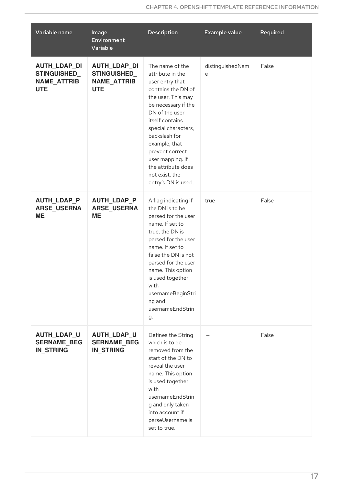| Variable name                                                    | Image<br>Environment<br>Variable                                 | Description                                                                                                                                                                                                                                                                                                                   | <b>Example value</b>  | Required |
|------------------------------------------------------------------|------------------------------------------------------------------|-------------------------------------------------------------------------------------------------------------------------------------------------------------------------------------------------------------------------------------------------------------------------------------------------------------------------------|-----------------------|----------|
| AUTH_LDAP_DI<br>STINGUISHED_<br><b>NAME ATTRIB</b><br><b>UTE</b> | AUTH_LDAP_DI<br>STINGUISHED_<br><b>NAME ATTRIB</b><br><b>UTE</b> | The name of the<br>attribute in the<br>user entry that<br>contains the DN of<br>the user. This may<br>be necessary if the<br>DN of the user<br>itself contains<br>special characters,<br>backslash for<br>example, that<br>prevent correct<br>user mapping. If<br>the attribute does<br>not exist, the<br>entry's DN is used. | distinguishedNam<br>e | False    |
| AUTH_LDAP_P<br><b>ARSE_USERNA</b><br><b>ME</b>                   | AUTH_LDAP_P<br><b>ARSE_USERNA</b><br><b>ME</b>                   | A flag indicating if<br>the DN is to be<br>parsed for the user<br>name. If set to<br>true, the DN is<br>parsed for the user<br>name. If set to<br>false the DN is not<br>parsed for the user<br>name. This option<br>is used together<br>with<br>usernameBeginStri<br>ng and<br>usernameEndStrin<br>g.                        | true                  | False    |
| <b>AUTH LDAP U</b><br><b>SERNAME_BEG</b><br><b>IN STRING</b>     | AUTH_LDAP_U<br><b>SERNAME_BEG</b><br><b>IN_STRING</b>            | Defines the String<br>which is to be<br>removed from the<br>start of the DN to<br>reveal the user<br>name. This option<br>is used together<br>with<br>usernameEndStrin<br>g and only taken<br>into account if<br>parseUsername is<br>set to true.                                                                             |                       | False    |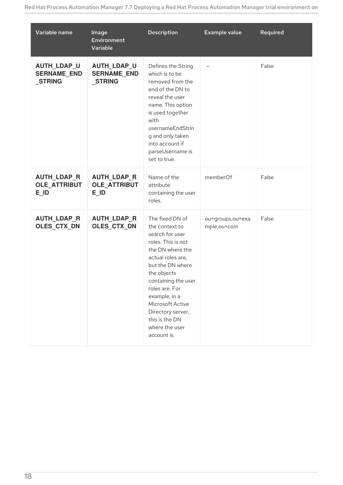Red Hat Process Automation Manager 7.7 Deploying a Red Hat Process Automation Manager trial environment on

| Variable name                                      | Image<br><b>Environment</b><br>Variable            | <b>Description</b>                                                                                                                                                                                                                                                                                           | <b>Example value</b>            | Required |
|----------------------------------------------------|----------------------------------------------------|--------------------------------------------------------------------------------------------------------------------------------------------------------------------------------------------------------------------------------------------------------------------------------------------------------------|---------------------------------|----------|
| AUTH_LDAP_U<br><b>SERNAME_END</b><br><b>STRING</b> | AUTH_LDAP_U<br><b>SERNAME_END</b><br><b>STRING</b> | Defines the String<br>which is to be<br>removed from the<br>end of the DN to<br>reveal the user<br>name. This option<br>is used together<br>with<br>usernameEndStrin<br>g and only taken<br>into account if<br>parseUsername is<br>set to true.                                                              |                                 | False    |
| AUTH_LDAP_R<br><b>OLE ATTRIBUT</b><br>$E$ ID       | AUTH_LDAP_R<br><b>OLE ATTRIBUT</b><br>$E$ ID       | Name of the<br>attribute<br>containing the user<br>roles.                                                                                                                                                                                                                                                    | memberOf                        | False    |
| AUTH_LDAP_R<br>OLES_CTX_DN                         | AUTH_LDAP_R<br>OLES_CTX_DN                         | The fixed DN of<br>the context to<br>search for user<br>roles. This is not<br>the DN where the<br>actual roles are,<br>but the DN where<br>the objects<br>containing the user<br>roles are. For<br>example, in a<br>Microsoft Active<br>Directory server,<br>this is the DN<br>where the user<br>account is. | ou=groups,ou=exa<br>mple,ou=com | False    |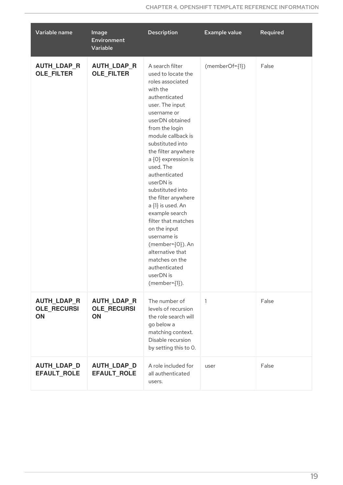| Variable name                           | Image<br>Environment<br>Variable        | <b>Description</b>                                                                                                                                                                                                                                                                                                                                                                                                                                                                                                                                         | <b>Example value</b> | Required |
|-----------------------------------------|-----------------------------------------|------------------------------------------------------------------------------------------------------------------------------------------------------------------------------------------------------------------------------------------------------------------------------------------------------------------------------------------------------------------------------------------------------------------------------------------------------------------------------------------------------------------------------------------------------------|----------------------|----------|
| AUTH_LDAP_R<br><b>OLE_FILTER</b>        | AUTH_LDAP_R<br><b>OLE_FILTER</b>        | A search filter<br>used to locate the<br>roles associated<br>with the<br>authenticated<br>user. The input<br>username or<br>userDN obtained<br>from the login<br>module callback is<br>substituted into<br>the filter anywhere<br>a {0} expression is<br>used. The<br>authenticated<br>userDN is<br>substituted into<br>the filter anywhere<br>a {1} is used. An<br>example search<br>filter that matches<br>on the input<br>username is<br>(member= ${0}$ }). An<br>alternative that<br>matches on the<br>authenticated<br>userDN is<br>$(member=\{1\}).$ | $(memberOf={1})$     | False    |
| AUTH_LDAP_R<br><b>OLE RECURSI</b><br>ON | AUTH_LDAP_R<br><b>OLE_RECURSI</b><br>ON | The number of<br>levels of recursion<br>the role search will<br>go below a<br>matching context.<br>Disable recursion<br>by setting this to 0.                                                                                                                                                                                                                                                                                                                                                                                                              | $\mathbf{1}$         | False    |
| AUTH_LDAP_D<br>EFAULT_ROLE              | AUTH_LDAP_D<br><b>EFAULT_ROLE</b>       | A role included for<br>all authenticated<br>users.                                                                                                                                                                                                                                                                                                                                                                                                                                                                                                         | user                 | False    |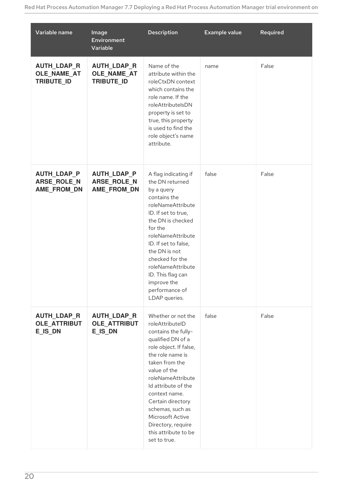Red Hat Process Automation Manager 7.7 Deploying a Red Hat Process Automation Manager trial environment on

| Variable name                                    | Image<br>Environment<br>Variable                 | <b>Description</b>                                                                                                                                                                                                                                                                                                                                        | <b>Example value</b> | Required |
|--------------------------------------------------|--------------------------------------------------|-----------------------------------------------------------------------------------------------------------------------------------------------------------------------------------------------------------------------------------------------------------------------------------------------------------------------------------------------------------|----------------------|----------|
| AUTH_LDAP_R<br>OLE_NAME_AT<br>TRIBUTE_ID         | AUTH_LDAP_R<br>OLE_NAME_AT<br>TRIBUTE_ID         | Name of the<br>attribute within the<br>roleCtxDN context<br>which contains the<br>role name. If the<br>roleAttributeIsDN<br>property is set to<br>true, this property<br>is used to find the<br>role object's name<br>attribute.                                                                                                                          | name                 | False    |
| <b>AUTH LDAP P</b><br>ARSE_ROLE_N<br>AME FROM DN | <b>AUTH LDAP P</b><br>ARSE_ROLE_N<br>AME FROM DN | A flag indicating if<br>the DN returned<br>by a query<br>contains the<br>roleNameAttribute<br>ID. If set to true,<br>the DN is checked<br>for the<br>roleNameAttribute<br>ID. If set to false,<br>the DN is not<br>checked for the<br>roleNameAttribute<br>ID. This flag can<br>improve the<br>performance of<br>LDAP queries.                            | false                | False    |
| AUTH_LDAP_R<br><b>OLE_ATTRIBUT</b><br>E_IS_DN    | AUTH_LDAP_R<br><b>OLE_ATTRIBUT</b><br>E_IS_DN    | Whether or not the<br>roleAttributeID<br>contains the fully-<br>qualified DN of a<br>role object. If false,<br>the role name is<br>taken from the<br>value of the<br>roleNameAttribute<br>Id attribute of the<br>context name.<br>Certain directory<br>schemas, such as<br>Microsoft Active<br>Directory, require<br>this attribute to be<br>set to true. | false                | False    |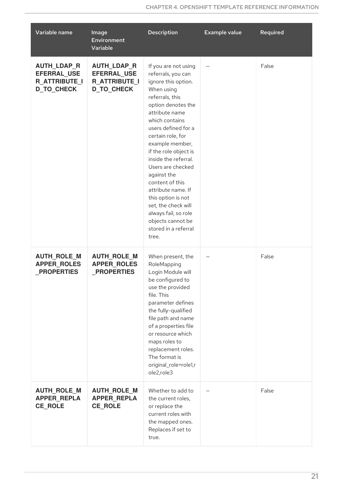| Variable name                                                           | Image<br>Environment<br>Variable                                        | <b>Description</b>                                                                                                                                                                                                                                                                                                                                                                                                                                                                   | <b>Example value</b> | Required |
|-------------------------------------------------------------------------|-------------------------------------------------------------------------|--------------------------------------------------------------------------------------------------------------------------------------------------------------------------------------------------------------------------------------------------------------------------------------------------------------------------------------------------------------------------------------------------------------------------------------------------------------------------------------|----------------------|----------|
| AUTH_LDAP_R<br>EFERRAL_USE<br><b>R_ATTRIBUTE_I</b><br><b>D TO CHECK</b> | AUTH_LDAP_R<br>EFERRAL_USE<br><b>R ATTRIBUTE I</b><br><b>D_TO_CHECK</b> | If you are not using<br>referrals, you can<br>ignore this option.<br>When using<br>referrals, this<br>option denotes the<br>attribute name<br>which contains<br>users defined for a<br>certain role, for<br>example member,<br>if the role object is<br>inside the referral.<br>Users are checked<br>against the<br>content of this<br>attribute name. If<br>this option is not<br>set, the check will<br>always fail, so role<br>objects cannot be<br>stored in a referral<br>tree. |                      | False    |
| <b>AUTH_ROLE_M</b><br><b>APPER ROLES</b><br><b>PROPERTIES</b>           | <b>AUTH_ROLE_M</b><br><b>APPER ROLES</b><br><b>PROPERTIES</b>           | When present, the<br>RoleMapping<br>Login Module will<br>be configured to<br>use the provided<br>file. This<br>parameter defines<br>the fully-qualified<br>file path and name<br>of a properties file<br>or resource which<br>maps roles to<br>replacement roles.<br>The format is<br>original_role=role1,r<br>ole2,role3                                                                                                                                                            |                      | False    |
| <b>AUTH_ROLE_M</b><br><b>APPER REPLA</b><br><b>CE_ROLE</b>              | AUTH_ROLE_M<br>APPER_REPLA<br><b>CE_ROLE</b>                            | Whether to add to<br>the current roles,<br>or replace the<br>current roles with<br>the mapped ones.<br>Replaces if set to<br>true.                                                                                                                                                                                                                                                                                                                                                   |                      | False    |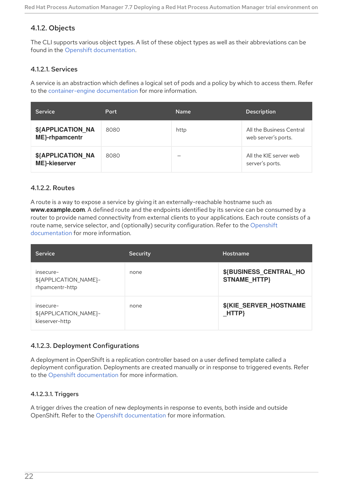### <span id="page-25-0"></span>4.1.2. Objects

The CLI supports various object types. A list of these object types as well as their abbreviations can be found in the Openshift [documentation.](https://access.redhat.com/documentation/en-us/openshift_container_platform/3.11/html/cli_reference/cli-reference-basic-cli-operations#object-types)

#### <span id="page-25-1"></span>4.1.2.1. Services

A service is an abstraction which defines a logical set of pods and a policy by which to access them. Refer to the [container-engine](https://cloud.google.com/container-engine/docs/services/) documentation for more information.

| <b>Service</b>                      | Port | <b>Name</b> | Description                                     |
|-------------------------------------|------|-------------|-------------------------------------------------|
| \${APPLICATION_NA<br>ME}-rhpamcentr | 8080 | http        | All the Business Central<br>web server's ports. |
| \${APPLICATION_NA<br>ME}-kieserver  | 8080 |             | All the KIE server web<br>server's ports.       |

#### <span id="page-25-2"></span>4.1.2.2. Routes

A route is a way to expose a service by giving it an externally-reachable hostname such as **www.example.com**. A defined route and the endpoints identified by its service can be consumed by a router to provide named connectivity from external clients to your applications. Each route consists of a route name, service selector, and (optionally) security configuration. Refer to the Openshift [documentation](https://access.redhat.com/documentation/en-us/openshift_enterprise/3.2/html/architecture/core-concepts#architecture-core-concepts-routes) for more information.

| <b>Service</b>                                        | <b>Security</b> | Hostname                                      |
|-------------------------------------------------------|-----------------|-----------------------------------------------|
| insecure-<br>\${APPLICATION_NAME}-<br>rhpamcentr-http | none            | \${BUSINESS_CENTRAL_HO<br><b>STNAME HTTP}</b> |
| insecure-<br>\${APPLICATION_NAME}-<br>kieserver-http  | none            | \${KIE_SERVER_HOSTNAME<br>HTTP}               |

#### <span id="page-25-3"></span>4.1.2.3. Deployment Configurations

A deployment in OpenShift is a replication controller based on a user defined template called a deployment configuration. Deployments are created manually or in response to triggered events. Refer to the Openshift [documentation](https://access.redhat.com/documentation/en-us/openshift_container_platform/3.11/html/developer_guide/deployments#dev-guide-how-deployments-work) for more information.

#### <span id="page-25-4"></span>4.1.2.3.1. Triggers

A trigger drives the creation of new deployments in response to events, both inside and outside OpenShift. Refer to the Openshift [documentation](https://access.redhat.com/documentation/en-us/openshift_container_platform/3.11/html/developer_guide/deployments#triggers) for more information.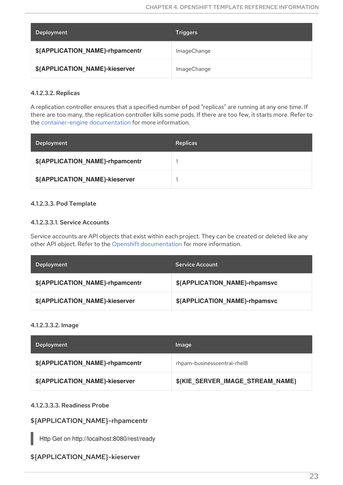| Deployment                      | <b>Triggers</b>    |
|---------------------------------|--------------------|
| \${APPLICATION_NAME}-rhpamcentr | <b>ImageChange</b> |
| \${APPLICATION_NAME}-kieserver  | <b>ImageChange</b> |

#### <span id="page-26-0"></span>4.1.2.3.2. Replicas

A replication controller ensures that a specified number of pod "replicas" are running at any one time. If there are too many, the replication controller kills some pods. If there are too few, it starts more. Refer to the [container-engine](https://cloud.google.com/container-engine/docs/replicationcontrollers/) documentation for more information.

| Deployment                      | <b>Replicas</b> |
|---------------------------------|-----------------|
| \${APPLICATION_NAME}-rhpamcentr |                 |
| \${APPLICATION_NAME}-kieserver  |                 |

#### <span id="page-26-1"></span>4.1.2.3.3. Pod Template

#### <span id="page-26-2"></span>4.1.2.3.3.1. Service Accounts

Service accounts are API objects that exist within each project. They can be created or deleted like any other API object. Refer to the Openshift [documentation](https://access.redhat.com/documentation/en-us/openshift_container_platform/3.11/html/developer_guide/dev-guide-service-accounts#dev-managing-service-accounts) for more information.

| Deployment                      | <b>Service Account</b>        |
|---------------------------------|-------------------------------|
| \${APPLICATION NAME}-rhpamcentr | \${APPLICATION NAME}-rhpamsvc |
| \${APPLICATION_NAME}-kieserver  | \${APPLICATION_NAME}-rhpamsvc |

#### <span id="page-26-3"></span>4.1.2.3.3.2. Image

| Deployment                      | Image                            |
|---------------------------------|----------------------------------|
| \${APPLICATION_NAME}-rhpamcentr | rhpam-businesscentral-rhel8      |
| \${APPLICATION_NAME}-kieserver  | \${KIE_SERVER_IMAGE_STREAM_NAME} |

#### <span id="page-26-4"></span>4.1.2.3.3.3. Readiness Probe

#### \${APPLICATION\_NAME}-rhpamcentr

Http Get on http://localhost:8080/rest/ready

#### \${APPLICATION\_NAME}-kieserver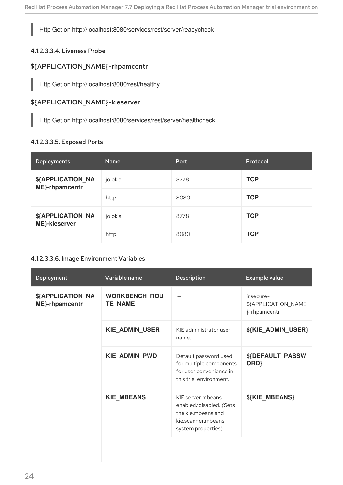#### Http Get on http://localhost:8080/services/rest/server/readycheck

#### <span id="page-27-0"></span>4.1.2.3.3.4. Liveness Probe

ı

#### \${APPLICATION\_NAME}-rhpamcentr

Http Get on http://localhost:8080/rest/healthy

#### \${APPLICATION\_NAME}-kieserver

Http Get on http://localhost:8080/services/rest/server/healthcheck

#### <span id="page-27-1"></span>4.1.2.3.3.5. Exposed Ports

| <b>Deployments</b>                  | <b>Name</b> | Port | Protocol   |
|-------------------------------------|-------------|------|------------|
| \${APPLICATION_NA<br>ME}-rhpamcentr | jolokia     | 8778 | <b>TCP</b> |
|                                     | http        | 8080 | <b>TCP</b> |
| \${APPLICATION_NA<br>ME}-kieserver  | jolokia     | 8778 | <b>TCP</b> |
|                                     | http        | 8080 | <b>TCP</b> |

#### <span id="page-27-2"></span>4.1.2.3.3.6. Image Environment Variables

| Deployment                          | Variable name                          | <b>Description</b>                                                                                             | <b>Example value</b>                             |
|-------------------------------------|----------------------------------------|----------------------------------------------------------------------------------------------------------------|--------------------------------------------------|
| \${APPLICATION_NA<br>ME}-rhpamcentr | <b>WORKBENCH_ROU</b><br><b>TE NAME</b> |                                                                                                                | insecure-<br>\${APPLICATION_NAME<br>}-rhpamcentr |
|                                     | <b>KIE_ADMIN_USER</b>                  | KIE administrator user<br>name.                                                                                | \${KIE_ADMIN_USER}                               |
|                                     | <b>KIE_ADMIN_PWD</b>                   | Default password used<br>for multiple components<br>for user convenience in<br>this trial environment.         | \${DEFAULT_PASSW<br>ORD}                         |
|                                     | <b>KIE_MBEANS</b>                      | KIE server mbeans<br>enabled/disabled. (Sets<br>the kie.mbeans and<br>kie.scanner.mbeans<br>system properties) | \${KIE_MBEANS}                                   |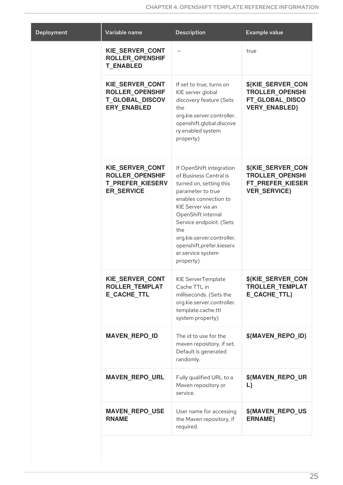<span id="page-28-0"></span>

| Deployment | Variable name                                                                                    | Description                                                                                                                                                                                                                                                                                          | <b>Example value</b>                                                                   |
|------------|--------------------------------------------------------------------------------------------------|------------------------------------------------------------------------------------------------------------------------------------------------------------------------------------------------------------------------------------------------------------------------------------------------------|----------------------------------------------------------------------------------------|
|            | <b>KIE_SERVER_CONT</b><br><b>ROLLER_OPENSHIF</b><br><b>T ENABLED</b>                             |                                                                                                                                                                                                                                                                                                      | true                                                                                   |
|            | <b>KIE_SERVER_CONT</b><br><b>ROLLER_OPENSHIF</b><br><b>T_GLOBAL_DISCOV</b><br><b>ERY ENABLED</b> | If set to true, turns on<br>KIE server global<br>discovery feature (Sets<br>the<br>org.kie.server.controller.<br>openshift.global.discove<br>ry.enabled system<br>property)                                                                                                                          | \${KIE_SERVER_CON<br>TROLLER_OPENSHI<br>FT_GLOBAL_DISCO<br><b>VERY_ENABLED}</b>        |
|            | <b>KIE_SERVER_CONT</b><br><b>ROLLER OPENSHIF</b><br><b>T_PREFER_KIESERV</b><br><b>ER_SERVICE</b> | If OpenShift integration<br>of Business Central is<br>turned on, setting this<br>parameter to true<br>enables connection to<br>KIE Server via an<br>OpenShift internal<br>Service endpoint. (Sets<br>the<br>org.kie.server.controller.<br>openshift.prefer.kieserv<br>er.service system<br>property) | <b>\${KIE SERVER CON</b><br>TROLLER_OPENSHI<br>FT PREFER KIESER<br><b>VER_SERVICE}</b> |
|            | <b>KIE_SERVER_CONT</b><br><b>ROLLER_TEMPLAT</b><br>E CACHE TTL                                   | KIE ServerTemplate<br>Cache TTL in<br>milliseconds. (Sets the<br>org.kie.server.controller.<br>template.cache.ttl<br>system property)                                                                                                                                                                | \${KIE_SERVER_CON<br><b>TROLLER_TEMPLAT</b><br>E_CACHE_TTL}                            |
|            | <b>MAVEN REPO ID</b>                                                                             | The id to use for the<br>maven repository, if set.<br>Default is generated<br>randomly.                                                                                                                                                                                                              | \${MAVEN_REPO_ID}                                                                      |
|            | <b>MAVEN_REPO_URL</b>                                                                            | Fully qualified URL to a<br>Maven repository or<br>service.                                                                                                                                                                                                                                          | \${MAVEN_REPO_UR<br>L}                                                                 |
|            | <b>MAVEN_REPO_USE</b><br><b>RNAME</b>                                                            | User name for accessing<br>the Maven repository, if<br>required.                                                                                                                                                                                                                                     | \${MAVEN_REPO_US<br><b>ERNAME}</b>                                                     |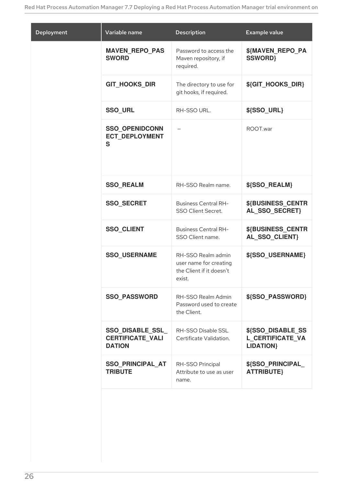| <b>Deployment</b> | Variable name                                                       | <b>Description</b>                                                                 | <b>Example value</b>                                      |
|-------------------|---------------------------------------------------------------------|------------------------------------------------------------------------------------|-----------------------------------------------------------|
|                   | <b>MAVEN_REPO_PAS</b><br><b>SWORD</b>                               | Password to access the<br>Maven repository, if<br>required.                        | \${MAVEN_REPO_PA<br><b>SSWORD</b> }                       |
|                   | <b>GIT HOOKS DIR</b>                                                | The directory to use for<br>git hooks, if required.                                | \${GIT_HOOKS_DIR}                                         |
|                   | SSO_URL                                                             | RH-SSO URL.                                                                        | \${SSO_URL}                                               |
|                   | <b>SSO_OPENIDCONN</b><br><b>ECT DEPLOYMENT</b><br>S                 |                                                                                    | ROOT.war                                                  |
|                   | <b>SSO_REALM</b>                                                    | RH-SSO Realm name.                                                                 | \${SSO_REALM}                                             |
|                   | <b>SSO_SECRET</b>                                                   | <b>Business Central RH-</b><br>SSO Client Secret.                                  | \${BUSINESS_CENTR<br>AL_SSO_SECRET}                       |
|                   | <b>SSO_CLIENT</b>                                                   | <b>Business Central RH-</b><br>SSO Client name.                                    | \${BUSINESS_CENTR<br>AL_SSO_CLIENT}                       |
|                   | <b>SSO_USERNAME</b>                                                 | RH-SSO Realm admin<br>user name for creating<br>the Client if it doesn't<br>exist. | \${SSO_USERNAME}                                          |
|                   | <b>SSO_PASSWORD</b>                                                 | RH-SSO Realm Admin<br>Password used to create<br>the Client.                       | \${SSO_PASSWORD}                                          |
|                   | <b>SSO_DISABLE_SSL_</b><br><b>CERTIFICATE_VALI</b><br><b>DATION</b> | RH-SSO Disable SSL<br>Certificate Validation.                                      | \${SSO_DISABLE_SS<br>L CERTIFICATE_VA<br><b>LIDATION}</b> |
|                   | SSO_PRINCIPAL_AT<br><b>TRIBUTE</b>                                  | RH-SSO Principal<br>Attribute to use as user<br>name.                              | \${SSO_PRINCIPAL_<br><b>ATTRIBUTE}</b>                    |
|                   |                                                                     |                                                                                    |                                                           |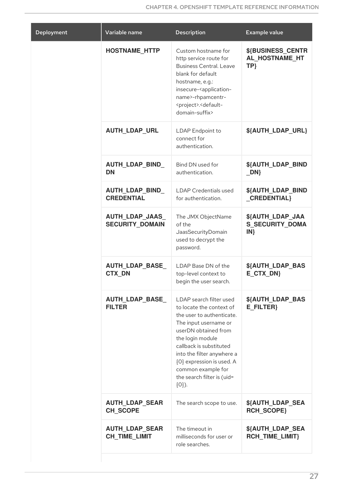| Deployment | Variable name                             | Description                                                                                                                                                                                                                                                                                                 | Example value                                        |
|------------|-------------------------------------------|-------------------------------------------------------------------------------------------------------------------------------------------------------------------------------------------------------------------------------------------------------------------------------------------------------------|------------------------------------------------------|
|            | <b>HOSTNAME_HTTP</b>                      | Custom hostname for<br>http service route for<br><b>Business Central. Leave</b><br>blank for default<br>hostname, e.g.:<br>insecure- <application-<br>name&gt;-rhpamcentr-<br/><project>.<default-<br>domain-suffix&gt;</default-<br></project></application-<br>                                           | \${BUSINESS_CENTR<br>AL_HOSTNAME_HT<br>TP}           |
|            | AUTH_LDAP_URL                             | LDAP Endpoint to<br>connect for<br>authentication.                                                                                                                                                                                                                                                          | \${AUTH_LDAP_URL}                                    |
|            | AUTH_LDAP_BIND_<br><b>DN</b>              | Bind DN used for<br>authentication.                                                                                                                                                                                                                                                                         | \${AUTH_LDAP_BIND<br>$_DN$                           |
|            | AUTH_LDAP_BIND_<br><b>CREDENTIAL</b>      | <b>LDAP Credentials used</b><br>for authentication.                                                                                                                                                                                                                                                         | \${AUTH_LDAP_BIND<br><b>CREDENTIAL}</b>              |
|            | AUTH_LDAP_JAAS_<br><b>SECURITY_DOMAIN</b> | The JMX ObjectName<br>of the<br>JaasSecurityDomain<br>used to decrypt the<br>password.                                                                                                                                                                                                                      | \${AUTH_LDAP_JAA<br><b>S_SECURITY_DOMA</b><br>$IN$ } |
|            | <b>AUTH_LDAP_BASE_</b><br><b>CTX_DN</b>   | LDAP Base DN of the<br>top-level context to<br>begin the user search.                                                                                                                                                                                                                                       | <b>\${AUTH LDAP BAS</b><br>E_CTX_DN}                 |
|            | AUTH_LDAP_BASE_<br><b>FILTER</b>          | LDAP search filter used<br>to locate the context of<br>the user to authenticate.<br>The input username or<br>userDN obtained from<br>the login module<br>callback is substituted<br>into the filter anywhere a<br>{0} expression is used. A<br>common example for<br>the search filter is (uid=<br>${O}$ ). | \${AUTH_LDAP_BAS<br>E FILTER}                        |
|            | <b>AUTH_LDAP_SEAR</b><br><b>CH SCOPE</b>  | The search scope to use.                                                                                                                                                                                                                                                                                    | \${AUTH_LDAP_SEA<br><b>RCH_SCOPE}</b>                |
|            | <b>AUTH_LDAP_SEAR</b><br>CH_TIME_LIMIT    | The timeout in<br>milliseconds for user or<br>role searches.                                                                                                                                                                                                                                                | \${AUTH_LDAP_SEA<br><b>RCH_TIME_LIMIT}</b>           |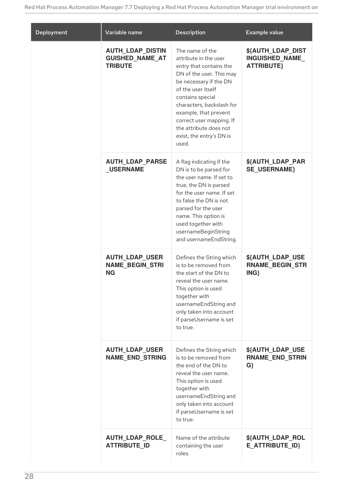| Deployment | Variable name                                                       | <b>Description</b>                                                                                                                                                                                                                                                                                                   | Example value                                            |
|------------|---------------------------------------------------------------------|----------------------------------------------------------------------------------------------------------------------------------------------------------------------------------------------------------------------------------------------------------------------------------------------------------------------|----------------------------------------------------------|
|            | <b>AUTH_LDAP_DISTIN</b><br><b>GUISHED_NAME_AT</b><br><b>TRIBUTE</b> | The name of the<br>attribute in the user<br>entry that contains the<br>DN of the user. This may<br>be necessary if the DN<br>of the user itself<br>contains special<br>characters, backslash for<br>example, that prevent<br>correct user mapping. If<br>the attribute does not<br>exist, the entry's DN is<br>used. | \${AUTH_LDAP_DIST<br>INGUISHED_NAME<br><b>ATTRIBUTE}</b> |
|            | <b>AUTH_LDAP_PARSE</b><br><b>USERNAME</b>                           | A flag indicating if the<br>DN is to be parsed for<br>the user name. If set to<br>true, the DN is parsed<br>for the user name. If set<br>to false the DN is not<br>parsed for the user<br>name. This option is<br>used together with<br>usernameBeginString<br>and usernameEndString.                                | \${AUTH_LDAP_PAR<br><b>SE USERNAME}</b>                  |
|            | <b>AUTH_LDAP_USER</b><br><b>NAME BEGIN STRI</b><br><b>NG</b>        | Defines the String which<br>is to be removed from<br>the start of the DN to<br>reveal the user name.<br>This option is used<br>together with<br>usernameEndString and<br>only taken into account<br>if parseUsername is set<br>to true.                                                                              | <b>\${AUTH LDAP USE</b><br>RNAME_BEGIN_STR<br>$ING$ }    |
|            | <b>AUTH_LDAP_USER</b><br><b>NAME_END_STRING</b>                     | Defines the String which<br>is to be removed from<br>the end of the DN to<br>reveal the user name.<br>This option is used<br>together with<br>usernameEndString and<br>only taken into account<br>if parseUsername is set<br>to true.                                                                                | <b>\${AUTH LDAP USE</b><br><b>RNAME_END_STRIN</b><br>G   |
|            | AUTH_LDAP_ROLE_<br><b>ATTRIBUTE ID</b>                              | Name of the attribute<br>containing the user<br>roles.                                                                                                                                                                                                                                                               | \${AUTH_LDAP_ROL<br>E_ATTRIBUTE_ID}                      |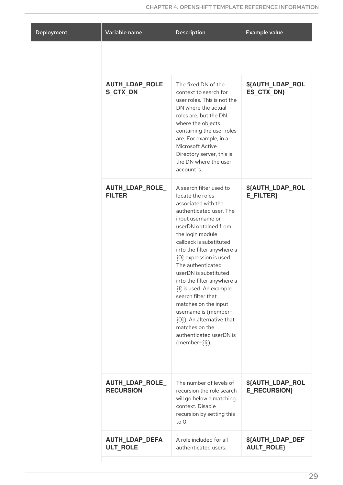| Deployment | Variable name                       | Description                                                                                                                                                                                                                                                                                                                                                                                                                                                                                                                    | <b>Example value</b>                    |
|------------|-------------------------------------|--------------------------------------------------------------------------------------------------------------------------------------------------------------------------------------------------------------------------------------------------------------------------------------------------------------------------------------------------------------------------------------------------------------------------------------------------------------------------------------------------------------------------------|-----------------------------------------|
|            |                                     |                                                                                                                                                                                                                                                                                                                                                                                                                                                                                                                                |                                         |
|            | <b>AUTH_LDAP_ROLE</b><br>S CTX DN   | The fixed DN of the<br>context to search for<br>user roles. This is not the<br>DN where the actual<br>roles are, but the DN<br>where the objects<br>containing the user roles<br>are. For example, in a<br>Microsoft Active<br>Directory server, this is<br>the DN where the user<br>account is.                                                                                                                                                                                                                               | \${AUTH_LDAP_ROL<br>ES_CTX_DN}          |
|            | AUTH_LDAP_ROLE_<br><b>FILTER</b>    | A search filter used to<br>locate the roles<br>associated with the<br>authenticated user. The<br>input username or<br>userDN obtained from<br>the login module<br>callback is substituted<br>into the filter anywhere a<br>{0} expression is used.<br>The authenticated<br>userDN is substituted<br>into the filter anywhere a<br>{1} is used. An example<br>search filter that<br>matches on the input<br>username is (member=<br>{0}). An alternative that<br>matches on the<br>authenticated userDN is<br>$(member=\{1\}).$ | <b>\${AUTH LDAP ROL</b><br>E_FILTER}    |
|            | AUTH_LDAP_ROLE_<br><b>RECURSION</b> | The number of levels of<br>recursion the role search<br>will go below a matching<br>context. Disable<br>recursion by setting this<br>to 0.                                                                                                                                                                                                                                                                                                                                                                                     | \${AUTH_LDAP_ROL<br><b>E RECURSION}</b> |
|            | AUTH_LDAP_DEFA<br>ULT_ROLE          | A role included for all<br>authenticated users.                                                                                                                                                                                                                                                                                                                                                                                                                                                                                | \${AUTH_LDAP_DEF<br><b>AULT_ROLE}</b>   |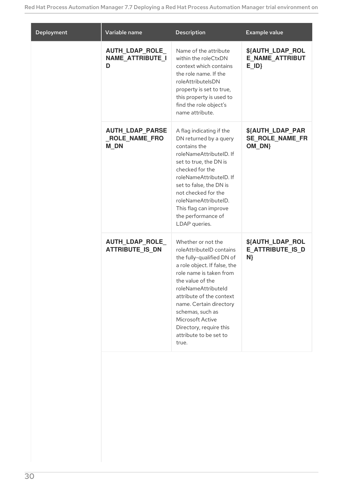| <b>Deployment</b> | Variable name                                                 | <b>Description</b>                                                                                                                                                                                                                                                                                                                             | <b>Example value</b>                                  |
|-------------------|---------------------------------------------------------------|------------------------------------------------------------------------------------------------------------------------------------------------------------------------------------------------------------------------------------------------------------------------------------------------------------------------------------------------|-------------------------------------------------------|
|                   | AUTH_LDAP_ROLE_<br><b>NAME_ATTRIBUTE_I</b><br>D               | Name of the attribute<br>within the roleCtxDN<br>context which contains<br>the role name. If the<br>roleAttributeIsDN<br>property is set to true,<br>this property is used to<br>find the role object's<br>name attribute.                                                                                                                     | \${AUTH_LDAP_ROL<br><b>E_NAME_ATTRIBUT</b><br>$E$ ID} |
|                   | <b>AUTH_LDAP_PARSE</b><br><b>ROLE NAME FRO</b><br><b>M DN</b> | A flag indicating if the<br>DN returned by a query<br>contains the<br>roleNameAttributeID. If<br>set to true, the DN is<br>checked for the<br>roleNameAttributeID. If<br>set to false, the DN is<br>not checked for the<br>roleNameAttributeID.<br>This flag can improve<br>the performance of<br>LDAP queries.                                | \${AUTH_LDAP_PAR<br><b>SE_ROLE_NAME_FR</b><br>OM_DN}  |
|                   | AUTH_LDAP_ROLE_<br><b>ATTRIBUTE_IS_DN</b>                     | Whether or not the<br>roleAttributeID contains<br>the fully-qualified DN of<br>a role object. If false, the<br>role name is taken from<br>the value of the<br>roleNameAttributeId<br>attribute of the context<br>name. Certain directory<br>schemas, such as<br>Microsoft Active<br>Directory, require this<br>attribute to be set to<br>true. | \${AUTH_LDAP_ROL<br><b>E_ATTRIBUTE_IS_D</b><br>N}     |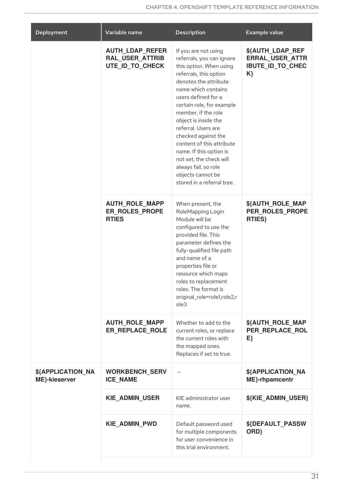| Deployment                         | Variable name                                                       | <b>Description</b>                                                                                                                                                                                                                                                                                                                                                                                                                                                    | <b>Example value</b>                                                       |
|------------------------------------|---------------------------------------------------------------------|-----------------------------------------------------------------------------------------------------------------------------------------------------------------------------------------------------------------------------------------------------------------------------------------------------------------------------------------------------------------------------------------------------------------------------------------------------------------------|----------------------------------------------------------------------------|
|                                    | <b>AUTH_LDAP_REFER</b><br><b>RAL USER ATTRIB</b><br>UTE_ID_TO_CHECK | If you are not using<br>referrals, you can ignore<br>this option. When using<br>referrals, this option<br>denotes the attribute<br>name which contains<br>users defined for a<br>certain role, for example<br>member, if the role<br>object is inside the<br>referral. Users are<br>checked against the<br>content of this attribute<br>name. If this option is<br>not set, the check will<br>always fail, so role<br>objects cannot be<br>stored in a referral tree. | \${AUTH_LDAP_REF<br><b>ERRAL USER ATTR</b><br><b>IBUTE_ID_TO_CHEC</b><br>K |
|                                    | <b>AUTH_ROLE_MAPP</b><br>ER_ROLES_PROPE<br><b>RTIES</b>             | When present, the<br>RoleMapping Login<br>Module will be<br>configured to use the<br>provided file. This<br>parameter defines the<br>fully-qualified file path<br>and name of a<br>properties file or<br>resource which maps<br>roles to replacement<br>roles. The format is<br>original_role=role1,role2,r<br>ole3                                                                                                                                                   | \${AUTH_ROLE_MAP<br>PER_ROLES_PROPE<br><b>RTIES</b> }                      |
|                                    | <b>AUTH_ROLE_MAPP</b><br>ER_REPLACE_ROLE                            | Whether to add to the<br>current roles, or replace<br>the current roles with<br>the mapped ones.<br>Replaces if set to true.                                                                                                                                                                                                                                                                                                                                          | \${AUTH_ROLE_MAP<br>PER_REPLACE_ROL<br>E}                                  |
| \${APPLICATION_NA<br>ME}-kieserver | <b>WORKBENCH_SERV</b><br><b>ICE NAME</b>                            |                                                                                                                                                                                                                                                                                                                                                                                                                                                                       | \${APPLICATION_NA<br>ME}-rhpamcentr                                        |
|                                    | <b>KIE_ADMIN_USER</b>                                               | KIE administrator user<br>name.                                                                                                                                                                                                                                                                                                                                                                                                                                       | \${KIE_ADMIN_USER}                                                         |
|                                    | <b>KIE_ADMIN_PWD</b>                                                | Default password used<br>for multiple components<br>for user convenience in<br>this trial environment.                                                                                                                                                                                                                                                                                                                                                                | \${DEFAULT_PASSW<br>ORD}                                                   |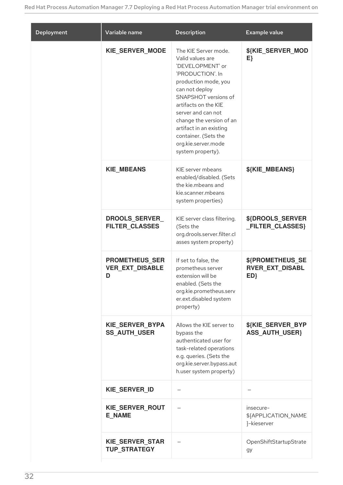| <b>Deployment</b> | Variable name                                        | <b>Description</b>                                                                                                                                                                                                                                                                                                          | <b>Example value</b>                              |
|-------------------|------------------------------------------------------|-----------------------------------------------------------------------------------------------------------------------------------------------------------------------------------------------------------------------------------------------------------------------------------------------------------------------------|---------------------------------------------------|
|                   | <b>KIE_SERVER_MODE</b>                               | The KIE Server mode.<br>Valid values are<br>'DEVELOPMENT' or<br>'PRODUCTION'. In<br>production mode, you<br>can not deploy<br>SNAPSHOT versions of<br>artifacts on the KIE<br>server and can not<br>change the version of an<br>artifact in an existing<br>container. (Sets the<br>org.kie.server.mode<br>system property). | \${KIE_SERVER_MOD<br>E}                           |
|                   | <b>KIE MBEANS</b>                                    | KIE server mbeans<br>enabled/disabled. (Sets<br>the kie.mbeans and<br>kie.scanner.mbeans<br>system properties)                                                                                                                                                                                                              | \${KIE MBEANS}                                    |
|                   | DROOLS_SERVER_<br><b>FILTER CLASSES</b>              | KIE server class filtering.<br>(Sets the<br>org.drools.server.filter.cl<br>asses system property)                                                                                                                                                                                                                           | \${DROOLS_SERVER<br><b>FILTER CLASSES}</b>        |
|                   | <b>PROMETHEUS_SER</b><br><b>VER EXT DISABLE</b><br>D | If set to false, the<br>prometheus server<br>extension will be<br>enabled. (Sets the<br>org.kie.prometheus.serv<br>er.ext.disabled system<br>property)                                                                                                                                                                      | \${PROMETHEUS_SE<br><b>RVER EXT DISABL</b><br>ED} |
|                   | KIE_SERVER_BYPA<br><b>SS_AUTH_USER</b>               | Allows the KIE server to<br>bypass the<br>authenticated user for<br>task-related operations<br>e.g. queries. (Sets the<br>org.kie.server.bypass.aut<br>h.user system property)                                                                                                                                              | \${KIE_SERVER_BYP<br><b>ASS AUTH USER}</b>        |
|                   | KIE_SERVER_ID                                        |                                                                                                                                                                                                                                                                                                                             |                                                   |
|                   | <b>KIE_SERVER_ROUT</b><br><b>E NAME</b>              |                                                                                                                                                                                                                                                                                                                             | insecure-<br>\${APPLICATION_NAME<br>}-kieserver   |
|                   | KIE_SERVER_STAR<br><b>TUP_STRATEGY</b>               |                                                                                                                                                                                                                                                                                                                             | OpenShiftStartupStrate<br>gy                      |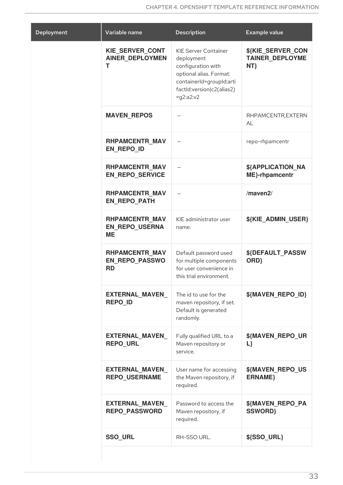| Deployment | Variable name                                        | <b>Description</b>                                                                                                                                                  | <b>Example value</b>                                  |
|------------|------------------------------------------------------|---------------------------------------------------------------------------------------------------------------------------------------------------------------------|-------------------------------------------------------|
|            | <b>KIE SERVER CONT</b><br>AINER_DEPLOYMEN<br>T       | <b>KIE Server Container</b><br>deployment<br>configuration with<br>optional alias. Format:<br>containerId=groupId:arti<br>factId:version c2(alias2)<br>$=$ g2:a2:v2 | \${KIE_SERVER_CON<br><b>TAINER_DEPLOYME</b><br>$NT$ } |
|            | <b>MAVEN_REPOS</b>                                   |                                                                                                                                                                     | RHPAMCENTR, EXTERN<br>AL                              |
|            | <b>RHPAMCENTR MAV</b><br>EN REPO ID                  |                                                                                                                                                                     | repo-rhpamcentr                                       |
|            | RHPAMCENTR_MAV<br><b>EN REPO SERVICE</b>             |                                                                                                                                                                     | \${APPLICATION NA<br>ME}-rhpamcentr                   |
|            | RHPAMCENTR_MAV<br><b>EN REPO PATH</b>                |                                                                                                                                                                     | /maven2/                                              |
|            | RHPAMCENTR_MAV<br>EN_REPO_USERNA<br><b>ME</b>        | KIE administrator user<br>name.                                                                                                                                     | \${KIE_ADMIN_USER}                                    |
|            | RHPAMCENTR_MAV<br><b>EN_REPO_PASSWO</b><br><b>RD</b> | Default password used<br>for multiple components<br>for user convenience in<br>this trial environment.                                                              | \${DEFAULT_PASSW<br>ORD}                              |
|            | <b>EXTERNAL MAVEN</b><br><b>REPO ID</b>              | The id to use for the<br>maven repository, if set.<br>Default is generated<br>randomly.                                                                             | \${MAVEN_REPO_ID}                                     |
|            | <b>EXTERNAL MAVEN</b><br><b>REPO URL</b>             | Fully qualified URL to a<br>Maven repository or<br>service.                                                                                                         | \${MAVEN_REPO_UR<br>L}                                |
|            | EXTERNAL_MAVEN_<br><b>REPO_USERNAME</b>              | User name for accessing<br>the Maven repository, if<br>required.                                                                                                    | \${MAVEN_REPO_US<br><b>ERNAME}</b>                    |
|            | EXTERNAL_MAVEN_<br><b>REPO PASSWORD</b>              | Password to access the<br>Maven repository, if<br>required.                                                                                                         | \${MAVEN_REPO_PA<br><b>SSWORD</b> }                   |
|            | <b>SSO_URL</b>                                       | RH-SSO URL.                                                                                                                                                         | \${SSO_URL}                                           |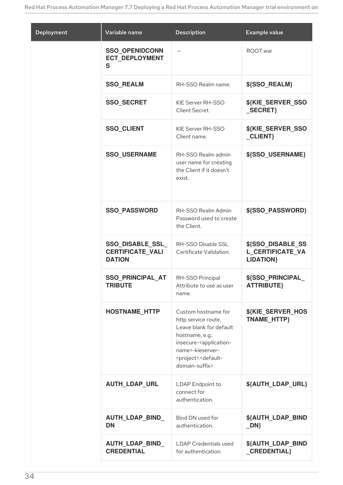| Deployment | Variable name                                                | Description                                                                                                                                                                                                                       | <b>Example value</b>                                      |
|------------|--------------------------------------------------------------|-----------------------------------------------------------------------------------------------------------------------------------------------------------------------------------------------------------------------------------|-----------------------------------------------------------|
|            | <b>SSO_OPENIDCONN</b><br>ECT_DEPLOYMENT<br>S                 |                                                                                                                                                                                                                                   | ROOT.war                                                  |
|            | <b>SSO_REALM</b>                                             | RH-SSO Realm name.                                                                                                                                                                                                                | \${SSO_REALM}                                             |
|            | <b>SSO_SECRET</b>                                            | KIE Server RH-SSO<br>Client Secret.                                                                                                                                                                                               | \${KIE_SERVER_SSO<br>_SECRET}                             |
|            | <b>SSO_CLIENT</b>                                            | KIE Server RH-SSO<br>Client name.                                                                                                                                                                                                 | \${KIE_SERVER_SSO<br>CLIENT                               |
|            | <b>SSO_USERNAME</b>                                          | RH-SSO Realm admin<br>user name for creating<br>the Client if it doesn't<br>exist.                                                                                                                                                | \${SSO_USERNAME}                                          |
|            | <b>SSO_PASSWORD</b>                                          | RH-SSO Realm Admin<br>Password used to create<br>the Client.                                                                                                                                                                      | \${SSO_PASSWORD}                                          |
|            | SSO_DISABLE_SSL_<br><b>CERTIFICATE_VALI</b><br><b>DATION</b> | RH-SSO Disable SSL<br>Certificate Validation.                                                                                                                                                                                     | \${SSO_DISABLE_SS<br>L_CERTIFICATE_VA<br><b>LIDATION}</b> |
|            | <b>SSO PRINCIPAL AT</b><br><b>TRIBUTE</b>                    | RH-SSO Principal<br>Attribute to use as user<br>name.                                                                                                                                                                             | \${SSO_PRINCIPAL<br><b>ATTRIBUTE}</b>                     |
|            | <b>HOSTNAME_HTTP</b>                                         | Custom hostname for<br>http service route.<br>Leave blank for default<br>hostname, e.g.:<br>insecure- <application-<br>name&gt;-kieserver-<br/><project>.<default-<br>domain-suffix&gt;</default-<br></project></application-<br> | <b>\${KIE SERVER HOS</b><br>TNAME_HTTP}                   |
|            | AUTH_LDAP_URL                                                | LDAP Endpoint to<br>connect for<br>authentication.                                                                                                                                                                                | \${AUTH_LDAP_URL}                                         |
|            | AUTH_LDAP_BIND_<br><b>DN</b>                                 | Bind DN used for<br>authentication.                                                                                                                                                                                               | \${AUTH_LDAP_BIND<br>DN}                                  |
|            | AUTH_LDAP_BIND_<br><b>CREDENTIAL</b>                         | <b>LDAP Credentials used</b><br>for authentication.                                                                                                                                                                               | \${AUTH_LDAP_BIND<br><b>CREDENTIAL}</b>                   |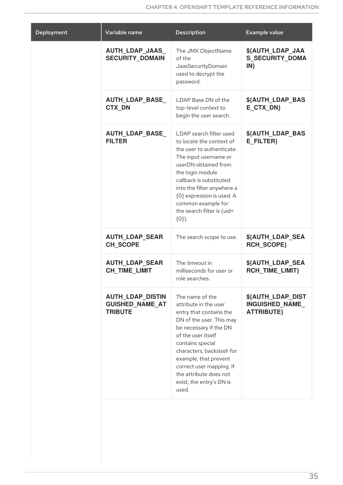| Deployment | Variable name                                                       | <b>Description</b>                                                                                                                                                                                                                                                                                                   | Example value                                        |
|------------|---------------------------------------------------------------------|----------------------------------------------------------------------------------------------------------------------------------------------------------------------------------------------------------------------------------------------------------------------------------------------------------------------|------------------------------------------------------|
|            | AUTH_LDAP_JAAS_<br><b>SECURITY DOMAIN</b>                           | The JMX ObjectName<br>of the<br>JaasSecurityDomain<br>used to decrypt the<br>password.                                                                                                                                                                                                                               | \${AUTH_LDAP_JAA<br><b>S_SECURITY_DOMA</b><br>$IN$ } |
|            | AUTH_LDAP_BASE_<br><b>CTX_DN</b>                                    | LDAP Base DN of the<br>top-level context to<br>begin the user search.                                                                                                                                                                                                                                                | \${AUTH_LDAP_BAS<br>E CTX_DN}                        |
|            | <b>AUTH_LDAP_BASE_</b><br><b>FILTER</b>                             | LDAP search filter used<br>to locate the context of<br>the user to authenticate.<br>The input username or<br>userDN obtained from<br>the login module<br>callback is substituted<br>into the filter anywhere a<br>{0} expression is used. A<br>common example for<br>the search filter is (uid=<br>${0}$ .           | \${AUTH_LDAP_BAS<br>E FILTER}                        |
|            | <b>AUTH_LDAP_SEAR</b><br><b>CH SCOPE</b>                            | The search scope to use.                                                                                                                                                                                                                                                                                             | \${AUTH_LDAP_SEA<br><b>RCH SCOPE}</b>                |
|            | <b>AUTH_LDAP_SEAR</b><br><b>CH TIME LIMIT</b>                       | The timeout in<br>milliseconds for user or<br>role searches.                                                                                                                                                                                                                                                         | \${AUTH_LDAP_SEA<br><b>RCH TIME LIMIT}</b>           |
|            | <b>AUTH_LDAP_DISTIN</b><br><b>GUISHED_NAME_AT</b><br><b>TRIBUTE</b> | The name of the<br>attribute in the user<br>entry that contains the<br>DN of the user. This may<br>be necessary if the DN<br>of the user itself<br>contains special<br>characters, backslash for<br>example, that prevent<br>correct user mapping. If<br>the attribute does not<br>exist, the entry's DN is<br>used. | \${AUTH_LDAP_DIST<br>INGUISHED_NAME_<br>ATTRIBUTE}   |
|            |                                                                     |                                                                                                                                                                                                                                                                                                                      |                                                      |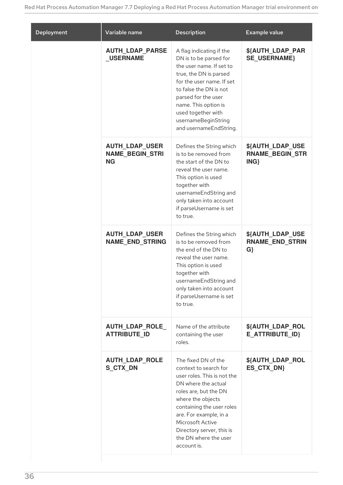| Deployment | Variable name                                         | <b>Description</b>                                                                                                                                                                                                                                                                               | <b>Example value</b>                               |
|------------|-------------------------------------------------------|--------------------------------------------------------------------------------------------------------------------------------------------------------------------------------------------------------------------------------------------------------------------------------------------------|----------------------------------------------------|
|            | <b>AUTH LDAP PARSE</b><br>_USERNAME                   | A flag indicating if the<br>DN is to be parsed for<br>the user name. If set to<br>true, the DN is parsed<br>for the user name. If set<br>to false the DN is not<br>parsed for the user<br>name. This option is<br>used together with<br>usernameBeginString<br>and usernameEndString.            | \${AUTH_LDAP_PAR<br><b>SE_USERNAME}</b>            |
|            | <b>AUTH_LDAP_USER</b><br>NAME_BEGIN_STRI<br><b>NG</b> | Defines the String which<br>is to be removed from<br>the start of the DN to<br>reveal the user name.<br>This option is used<br>together with<br>usernameEndString and<br>only taken into account<br>if parseUsername is set<br>to true.                                                          | <b>\${AUTH LDAP USE</b><br>RNAME_BEGIN_STR<br>ING} |
|            | <b>AUTH_LDAP_USER</b><br><b>NAME_END_STRING</b>       | Defines the String which<br>is to be removed from<br>the end of the DN to<br>reveal the user name.<br>This option is used<br>together with<br>usernameEndString and<br>only taken into account<br>if parseUsername is set<br>to true.                                                            | \${AUTH_LDAP_USE<br><b>RNAME_END_STRIN</b><br>G    |
|            | AUTH_LDAP_ROLE_<br><b>ATTRIBUTE ID</b>                | Name of the attribute<br>containing the user<br>roles.                                                                                                                                                                                                                                           | \${AUTH_LDAP_ROL<br><b>E ATTRIBUTE ID}</b>         |
|            | <b>AUTH_LDAP_ROLE</b><br><b>S_CTX_DN</b>              | The fixed DN of the<br>context to search for<br>user roles. This is not the<br>DN where the actual<br>roles are, but the DN<br>where the objects<br>containing the user roles<br>are. For example, in a<br>Microsoft Active<br>Directory server, this is<br>the DN where the user<br>account is. | \${AUTH_LDAP_ROL<br>ES_CTX_DN}                     |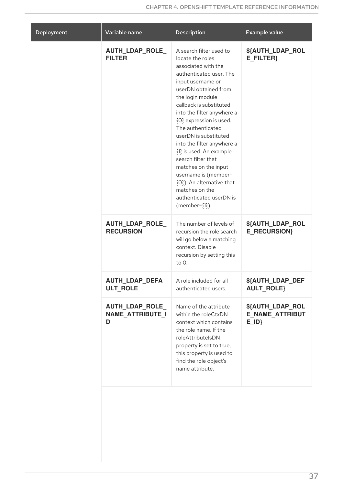| Deployment | Variable name                                   | Description                                                                                                                                                                                                                                                                                                                                                                                                                                                                                                                    | <b>Example value</b>                                         |
|------------|-------------------------------------------------|--------------------------------------------------------------------------------------------------------------------------------------------------------------------------------------------------------------------------------------------------------------------------------------------------------------------------------------------------------------------------------------------------------------------------------------------------------------------------------------------------------------------------------|--------------------------------------------------------------|
|            | AUTH_LDAP_ROLE_<br><b>FILTER</b>                | A search filter used to<br>locate the roles<br>associated with the<br>authenticated user. The<br>input username or<br>userDN obtained from<br>the login module<br>callback is substituted<br>into the filter anywhere a<br>{0} expression is used.<br>The authenticated<br>userDN is substituted<br>into the filter anywhere a<br>{1} is used. An example<br>search filter that<br>matches on the input<br>username is (member=<br>{0}). An alternative that<br>matches on the<br>authenticated userDN is<br>$(member=\{1\}).$ | \${AUTH_LDAP_ROL<br>E_FILTER}                                |
|            | AUTH_LDAP_ROLE_<br><b>RECURSION</b>             | The number of levels of<br>recursion the role search<br>will go below a matching<br>context. Disable<br>recursion by setting this<br>to 0.                                                                                                                                                                                                                                                                                                                                                                                     | \${AUTH_LDAP_ROL<br><b>E_RECURSION}</b>                      |
|            | <b>AUTH LDAP DEFA</b><br>ULT_ROLE               | A role included for all<br>authenticated users.                                                                                                                                                                                                                                                                                                                                                                                                                                                                                | \${AUTH_LDAP_DEF<br><b>AULT_ROLE}</b>                        |
|            | AUTH_LDAP_ROLE_<br><b>NAME ATTRIBUTE I</b><br>D | Name of the attribute<br>within the roleCtxDN<br>context which contains<br>the role name. If the<br>roleAttributelsDN<br>property is set to true,<br>this property is used to<br>find the role object's<br>name attribute.                                                                                                                                                                                                                                                                                                     | <b>\${AUTH LDAP ROL</b><br><b>E_NAME_ATTRIBUT</b><br>$E$ ID} |
|            |                                                 |                                                                                                                                                                                                                                                                                                                                                                                                                                                                                                                                |                                                              |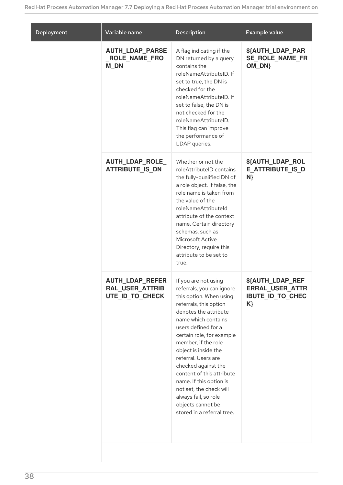| Deployment | Variable name                                                | Description                                                                                                                                                                                                                                                                                                                                                                                                                                                           | Example value                                                        |
|------------|--------------------------------------------------------------|-----------------------------------------------------------------------------------------------------------------------------------------------------------------------------------------------------------------------------------------------------------------------------------------------------------------------------------------------------------------------------------------------------------------------------------------------------------------------|----------------------------------------------------------------------|
|            | <b>AUTH_LDAP_PARSE</b><br>ROLE NAME FRO<br><b>M_DN</b>       | A flag indicating if the<br>DN returned by a query<br>contains the<br>roleNameAttributeID. If<br>set to true, the DN is<br>checked for the<br>roleNameAttributeID. If<br>set to false, the DN is<br>not checked for the<br>roleNameAttributeID.<br>This flag can improve<br>the performance of<br>LDAP queries.                                                                                                                                                       | \${AUTH_LDAP_PAR<br>SE ROLE NAME FR<br>OM_DN}                        |
|            | AUTH_LDAP_ROLE_<br><b>ATTRIBUTE_IS_DN</b>                    | Whether or not the<br>roleAttributeID contains<br>the fully-qualified DN of<br>a role object. If false, the<br>role name is taken from<br>the value of the<br>roleNameAttributeId<br>attribute of the context<br>name. Certain directory<br>schemas, such as<br>Microsoft Active<br>Directory, require this<br>attribute to be set to<br>true.                                                                                                                        | \${AUTH_LDAP_ROL<br>E ATTRIBUTE IS D<br>N                            |
|            | AUTH_LDAP_REFER<br><b>RAL USER ATTRIB</b><br>UTE_ID_TO_CHECK | If you are not using<br>referrals, you can ignore<br>this option. When using<br>referrals, this option<br>denotes the attribute<br>name which contains<br>users defined for a<br>certain role, for example<br>member, if the role<br>object is inside the<br>referral. Users are<br>checked against the<br>content of this attribute<br>name. If this option is<br>not set, the check will<br>always fail, so role<br>objects cannot be<br>stored in a referral tree. | \${AUTH_LDAP_REF<br><b>ERRAL USER ATTR</b><br>IBUTE_ID_TO_CHEC<br>K} |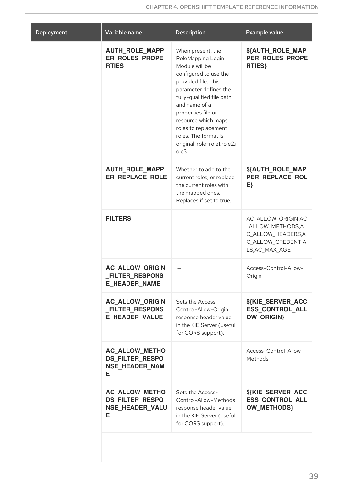| Deployment | Variable name                                                            | <b>Description</b>                                                                                                                                                                                                                                                                                                  | <b>Example value</b>                                                                               |
|------------|--------------------------------------------------------------------------|---------------------------------------------------------------------------------------------------------------------------------------------------------------------------------------------------------------------------------------------------------------------------------------------------------------------|----------------------------------------------------------------------------------------------------|
|            | <b>AUTH_ROLE_MAPP</b><br>ER_ROLES_PROPE<br><b>RTIES</b>                  | When present, the<br>RoleMapping Login<br>Module will be<br>configured to use the<br>provided file. This<br>parameter defines the<br>fully-qualified file path<br>and name of a<br>properties file or<br>resource which maps<br>roles to replacement<br>roles. The format is<br>original_role=role1,role2,r<br>ole3 | \${AUTH_ROLE_MAP<br>PER ROLES PROPE<br><b>RTIES</b> }                                              |
|            | <b>AUTH ROLE MAPP</b><br>ER REPLACE ROLE                                 | Whether to add to the<br>current roles, or replace<br>the current roles with<br>the mapped ones.<br>Replaces if set to true.                                                                                                                                                                                        | \${AUTH_ROLE_MAP<br>PER REPLACE ROL<br>E}                                                          |
|            | <b>FILTERS</b>                                                           |                                                                                                                                                                                                                                                                                                                     | AC_ALLOW_ORIGIN,AC<br>_ALLOW_METHODS,A<br>C_ALLOW_HEADERS,A<br>C_ALLOW_CREDENTIA<br>LS, AC_MAX_AGE |
|            | <b>AC_ALLOW_ORIGIN</b><br><b>FILTER RESPONS</b><br><b>E HEADER NAME</b>  |                                                                                                                                                                                                                                                                                                                     | Access-Control-Allow-<br>Origin                                                                    |
|            | <b>AC ALLOW ORIGIN</b><br><b>FILTER RESPONS</b><br><b>E HEADER VALUE</b> | Sets the Access-<br>Control-Allow-Origin<br>response header value<br>in the KIE Server (useful<br>for CORS support).                                                                                                                                                                                                | \${KIE_SERVER_ACC<br><b>ESS CONTROL ALL</b><br><b>OW_ORIGIN}</b>                                   |
|            | <b>AC ALLOW METHO</b><br><b>DS_FILTER_RESPO</b><br>NSE_HEADER_NAM<br>Е   |                                                                                                                                                                                                                                                                                                                     | Access-Control-Allow-<br>Methods                                                                   |
|            | <b>AC ALLOW METHO</b><br><b>DS_FILTER_RESPO</b><br>NSE_HEADER_VALU<br>Е  | Sets the Access-<br>Control-Allow-Methods<br>response header value<br>in the KIE Server (useful<br>for CORS support).                                                                                                                                                                                               | \${KIE_SERVER_ACC<br>ESS_CONTROL_ALL<br><b>OW METHODS}</b>                                         |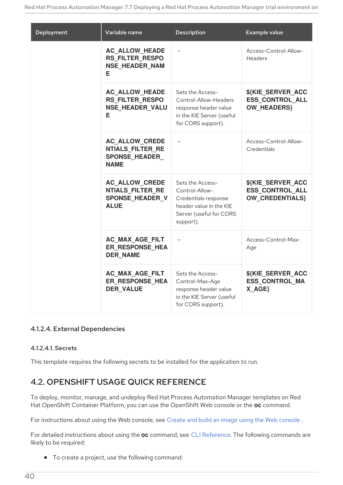| Deployment | Variable name                                                                             | Description                                                                                                                   | <b>Example value</b>                                                  |
|------------|-------------------------------------------------------------------------------------------|-------------------------------------------------------------------------------------------------------------------------------|-----------------------------------------------------------------------|
|            | <b>AC_ALLOW_HEADE</b><br><b>RS_FILTER_RESPO</b><br>NSE_HEADER_NAM<br>Е                    |                                                                                                                               | Access-Control-Allow-<br><b>Headers</b>                               |
|            | <b>AC_ALLOW_HEADE</b><br>RS FILTER RESPO<br><b>NSE HEADER VALU</b><br>Е                   | Sets the Access-<br>Control-Allow-Headers<br>response header value<br>in the KIE Server (useful<br>for CORS support).         | \${KIE_SERVER_ACC<br><b>ESS CONTROL ALL</b><br><b>OW HEADERS</b>      |
|            | <b>AC ALLOW CREDE</b><br><b>NTIALS FILTER RE</b><br><b>SPONSE HEADER</b><br><b>NAME</b>   |                                                                                                                               | Access-Control-Allow-<br>Credentials                                  |
|            | <b>AC_ALLOW_CREDE</b><br><b>NTIALS FILTER RE</b><br><b>SPONSE HEADER V</b><br><b>ALUE</b> | Sets the Access-<br>Control-Allow-<br>Credentials response<br>header value in the KIE<br>Server (useful for CORS<br>support). | \${KIE_SERVER_ACC<br><b>ESS CONTROL ALL</b><br><b>OW CREDENTIALS}</b> |
|            | AC_MAX_AGE_FILT<br>ER RESPONSE HEA<br><b>DER NAME</b>                                     |                                                                                                                               | Access-Control-Max-<br>Age                                            |
|            | AC_MAX_AGE_FILT<br>ER_RESPONSE_HEA<br><b>DER VALUE</b>                                    | Sets the Access-<br>Control-Max-Age<br>response header value<br>in the KIE Server (useful<br>for CORS support).               | \${KIE_SERVER_ACC<br><b>ESS_CONTROL_MA</b><br>X_AGE}                  |

#### <span id="page-43-0"></span>4.1.2.4. External Dependencies

#### <span id="page-43-1"></span>4.1.2.4.1. Secrets

This template requires the following secrets to be installed for the application to run.

### <span id="page-43-2"></span>4.2. OPENSHIFT USAGE QUICK REFERENCE

To deploy, monitor, manage, and undeploy Red Hat Process Automation Manager templates on Red Hat OpenShift Container Platform, you can use the OpenShift Web console or the **oc** command.

For instructions about using the Web console, see Create and build an image using the Web [console](https://access.redhat.com/documentation/en-us/openshift_container_platform/3.11/html-single/getting_started/#getting-started-developers-console) .

For detailed instructions about using the **oc** command, see CLI [Reference.](https://access.redhat.com/documentation/en-us/openshift_container_platform/3.11/html/cli_reference/) The following commands are likely to be required:

To create a project, use the following command: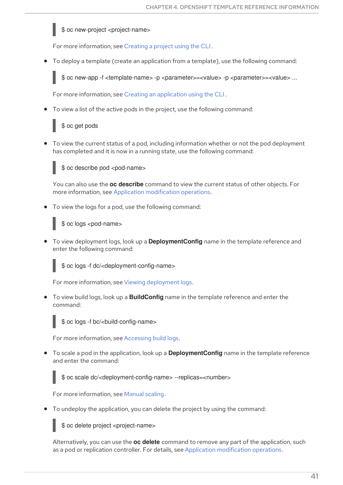\$ oc new-project <project-name>

For more information, see [Creating](https://access.redhat.com/documentation/en-us/openshift_container_platform/3.11/html-single/developer_guide/#create-a-project-using-the-cli) a project using the CLI .

To deploy a template (create an application from a template), use the following command:

\$ oc new-app -f <template-name> -p <parameter>=<value> -p <parameter>=<value> ...

For more information, see Creating an [application](https://access.redhat.com/documentation/en-us/openshift_container_platform/3.11/html-single/developer_guide/#using-the-cli) using the CLI .

To view a list of the active pods in the project, use the following command:

\$ oc get pods

To view the current status of a pod, including information whether or not the pod deployment has completed and it is now in a running state, use the following command:



You can also use the **oc describe** command to view the current status of other objects. For more information, see Application [modification](https://access.redhat.com/documentation/en-us/openshift_container_platform/3.11/html/cli_reference/cli-reference-basic-cli-operations#application-modification-cli-operations) operations.

To view the logs for a pod, use the following command:

\$ oc logs <pod-name>

To view deployment logs, look up a **DeploymentConfig** name in the template reference and enter the following command:

\$ oc logs -f dc/<deployment-config-name>

For more information, see Viewing [deployment](https://access.redhat.com/documentation/en-us/openshift_container_platform/3.11/html-single/developer_guide/#viewing-deployment-logs) logs.

To view build logs, look up a **BuildConfig** name in the template reference and enter the command:

\$ oc logs -f bc/<build-config-name>

For more information, see [Accessing](https://access.redhat.com/documentation/en-us/openshift_container_platform/3.11/html-single/developer_guide/#accessing-build-logs) build logs.

To scale a pod in the application, look up a **DeploymentConfig** name in the template reference and enter the command:

\$ oc scale dc/<deployment-config-name> --replicas=<number>

For more information, see [Manual](https://access.redhat.com/documentation/en-us/openshift_container_platform/3.11/html-single/developer_guide/#scaling) scaling.

To undeploy the application, you can delete the project by using the command:

\$ oc delete project <project-name>

Alternatively, you can use the **oc delete** command to remove any part of the application, such as a pod or replication controller. For details, see Application [modification](https://access.redhat.com/documentation/en-us/openshift_container_platform/3.11/html/cli_reference/cli-reference-basic-cli-operations#application-modification-cli-operations) operations.